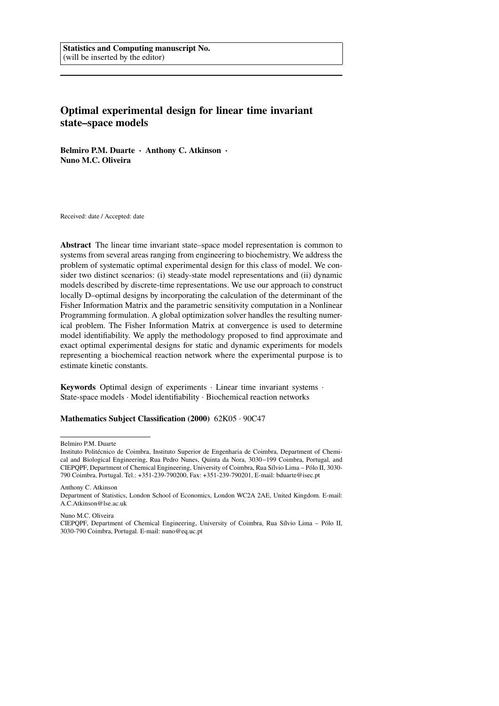# **Optimal experimental design for linear time invariant state–space models**

**Belmiro P.M. Duarte** · **Anthony C. Atkinson** · **Nuno M.C. Oliveira**

Received: date / Accepted: date

**Abstract** The linear time invariant state–space model representation is common to systems from several areas ranging from engineering to biochemistry. We address the problem of systematic optimal experimental design for this class of model. We consider two distinct scenarios: (i) steady-state model representations and (ii) dynamic models described by discrete-time representations. We use our approach to construct locally D–optimal designs by incorporating the calculation of the determinant of the Fisher Information Matrix and the parametric sensitivity computation in a Nonlinear Programming formulation. A global optimization solver handles the resulting numerical problem. The Fisher Information Matrix at convergence is used to determine model identifiability. We apply the methodology proposed to find approximate and exact optimal experimental designs for static and dynamic experiments for models representing a biochemical reaction network where the experimental purpose is to estimate kinetic constants.

**Keywords** Optimal design of experiments · Linear time invariant systems · State-space models · Model identifiability · Biochemical reaction networks

#### **Mathematics Subject Classification (2000)** 62K05 · 90C47

Belmiro P.M. Duarte

Anthony C. Atkinson Department of Statistics, London School of Economics, London WC2A 2AE, United Kingdom. E-mail: A.C.Atkinson@lse.ac.uk

Nuno M.C. Oliveira

Instituto Politécnico de Coimbra, Instituto Superior de Engenharia de Coimbra, Department of Chemical and Biological Engineering, Rua Pedro Nunes, Quinta da Nora, 3030−199 Coimbra, Portugal, and CIEPQPF, Department of Chemical Engineering, University of Coimbra, Rua Sílvio Lima – Pólo II, 3030- 790 Coimbra, Portugal. Tel.: +351-239-790200, Fax: +351-239-790201, E-mail: bduarte@isec.pt

CIEPQPF, Department of Chemical Engineering, University of Coimbra, Rua Sílvio Lima – Pólo II, 3030-790 Coimbra, Portugal. E-mail: nuno@eq.uc.pt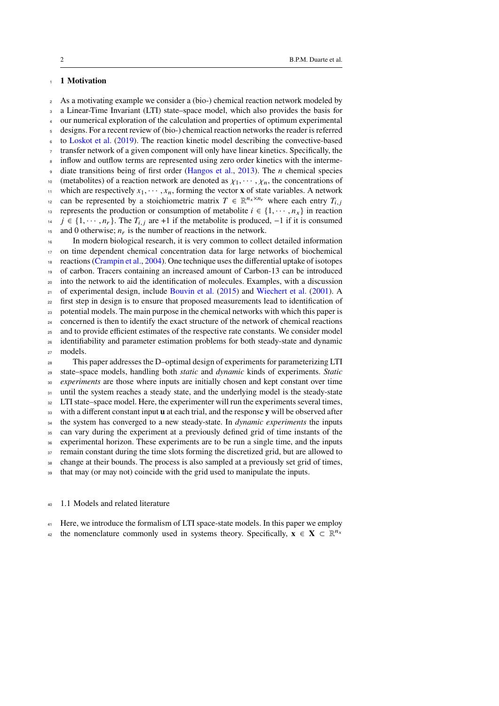# <span id="page-1-0"></span><sup>1</sup> **1 Motivation**

<sup>2</sup> As a motivating example we consider a (bio-) chemical reaction network modeled by <sup>3</sup> a Linear-Time Invariant (LTI) state–space model, which also provides the basis for <sup>4</sup> our numerical exploration of the calculation and properties of optimum experimental <sup>5</sup> designs. For a recent review of (bio-) chemical reaction networks the reader is referred <sup>6</sup> to [Loskot et al.](#page-30-0) [\(2019\)](#page-30-0). The reaction kinetic model describing the convective-based <sup>7</sup> transfer network of a given component will only have linear kinetics. Specifically, the <sup>8</sup> inflow and outflow terms are represented using zero order kinetics with the interme-diate transitions being of first order [\(Hangos et al.,](#page-30-1) [2013\)](#page-30-1). The  $n$  chemical species 10 (metabolites) of a reaction network are denoted as  $\chi_1, \cdots, \chi_n$ , the concentrations of 11 which are respectively  $x_1, \dots, x_n$ , forming the vector **x** of state variables. A network can be represented by a stoichiometric matrix  $T \in \mathbb{R}^{n_x \times n_r}$  where each entry  $T_{i,j}$ 13 represents the production or consumption of metabolite  $i \in \{1, \dots, n_x\}$  in reaction <sup>14</sup>  $j \in \{1, \dots, n_r\}$ . The  $T_{i,j}$  are +1 if the metabolite is produced,  $-1$  if it is consumed <sup>15</sup> and 0 otherwise;  $n_r$  is the number of reactions in the network. <sup>16</sup> In modern biological research, it is very common to collect detailed information <sup>17</sup> on time dependent chemical concentration data for large networks of biochemical <sup>18</sup> reactions [\(Crampin et al.,](#page-28-0) [2004\)](#page-28-0). One technique uses the differential uptake of isotopes <sup>19</sup> of carbon. Tracers containing an increased amount of Carbon-13 can be introduced <sup>20</sup> into the network to aid the identification of molecules. Examples, with a discussion  $_{21}$  of experimental design, include [Bouvin et al.](#page-28-1) [\(2015\)](#page-28-1) and [Wiechert et al.](#page-32-0) [\(2001\)](#page-32-0). A <sup>22</sup> first step in design is to ensure that proposed measurements lead to identification of <sup>23</sup> potential models. The main purpose in the chemical networks with which this paper is <sup>24</sup> concerned is then to identify the exact structure of the network of chemical reactions <sup>25</sup> and to provide efficient estimates of the respective rate constants. We consider model <sup>26</sup> identifiability and parameter estimation problems for both steady-state and dynamic <sup>27</sup> models. <sup>28</sup> This paper addresses the D–optimal design of experiments for parameterizing LTI <sup>29</sup> state–space models, handling both *static* and *dynamic* kinds of experiments. *Static* <sup>30</sup> *experiments* are those where inputs are initially chosen and kept constant over time 31 until the system reaches a steady state, and the underlying model is the steady-state <sup>32</sup> LTI state–space model. Here, the experimenter will run the experiments several times, <sup>33</sup> with a different constant input **u** at each trial, and the response **y** will be observed after <sup>34</sup> the system has converged to a new steady-state. In *dynamic experiments* the inputs

<sup>35</sup> can vary during the experiment at a previously defined grid of time instants of the <sup>36</sup> experimental horizon. These experiments are to be run a single time, and the inputs

<sup>37</sup> remain constant during the time slots forming the discretized grid, but are allowed to

<sup>38</sup> change at their bounds. The process is also sampled at a previously set grid of times,

<sup>39</sup> that may (or may not) coincide with the grid used to manipulate the inputs.

#### <sup>40</sup> 1.1 Models and related literature

- <sup>41</sup> Here, we introduce the formalism of LTI space-state models. In this paper we employ
- the nomenclature commonly used in systems theory. Specifically,  $\mathbf{x} \in \mathbf{X} \subset \mathbb{R}^{n_x}$ 42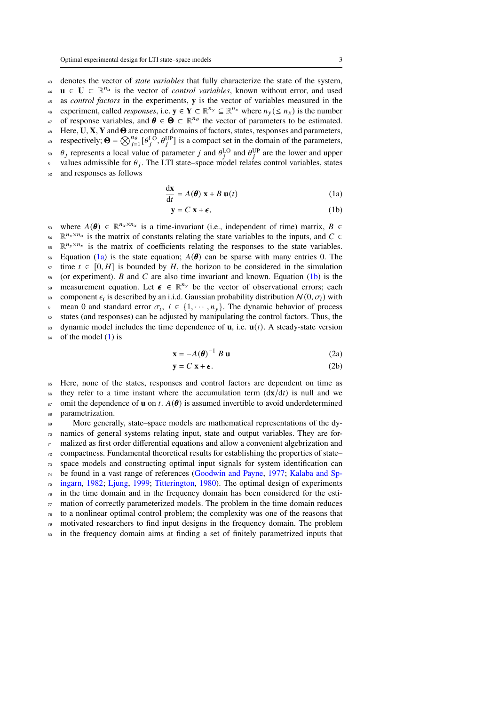<sup>43</sup> denotes the vector of *state variables* that fully characterize the state of the system, **u** ∈ **U** ⊂  $\mathbb{R}^{n_u}$  is the vector of *control variables*, known without error, and used

<sup>45</sup> as *control factors* in the experiments, **y** is the vector of variables measured in the

experiment, called *responses*, i.e.  $y \in Y \subset \mathbb{R}^{n_y} \subseteq \mathbb{R}^{n_x}$  where  $n_y \leq n_x$ ) is the number

47 of response variables, and  $\theta \in \Theta \subset \mathbb{R}^{n_\theta}$  the vector of parameters to be estimated.

- <sup>48</sup> Here, **U**, **X**, **Y** andΘ are compact domains of factors, states, responses and parameters,
- respectively;  $\mathbf{\Theta} = \bigotimes_{j=1}^{n_{\Theta}} [\theta_j^{\text{LO}}, \theta_j^{\text{UP}}]$  is a compact set in the domain of the parameters,
- <sup>50</sup>  $\theta_j$  represents a local value of parameter *j* and  $\theta_i^{\text{LO}}$  and  $\theta_j^{\text{UP}}$  are the lower and upper
- $_{51}$  values admissible for  $\theta_j$ . The LTI state–space model relates control variables, states
- <sup>52</sup> and responses as follows

<span id="page-2-2"></span>
$$
\frac{d\mathbf{x}}{dt} = A(\boldsymbol{\theta}) \mathbf{x} + B \mathbf{u}(t)
$$
 (1a)

<span id="page-2-1"></span><span id="page-2-0"></span>
$$
y = C x + \epsilon, \tag{1b}
$$

s where  $A(\theta) \in \mathbb{R}^{n_x \times n_x}$  is a time-invariant (i.e., independent of time) matrix,  $B \in$  $\mathbb{R}^{n_x \times n_u}$  is the matrix of constants relating the state variables to the inputs, and  $C \in$  $\mathbb{R}^{n_y \times n_x}$  is the matrix of coefficients relating the responses to the state variables. 56 Equation [\(1a\)](#page-2-0) is the state equation;  $A(\theta)$  can be sparse with many entries 0. The time  $t \in [0, H]$  is bounded by H, the horizon to be considered in the simulation  $58$  (or experiment). B and C are also time invariant and known. Equation [\(1b\)](#page-2-1) is the measurement equation. Let  $\epsilon \in \mathbb{R}^{n_y}$  be the vector of observational errors; each or component  $\epsilon_i$  is described by an i.i.d. Gaussian probability distribution  $N(0, \sigma_i)$  with  $\epsilon$  mean 0 and standard error  $\sigma_i$ ,  $i \in \{1, \cdots, n_v\}$ . The dynamic behavior of process <sup>62</sup> states (and responses) can be adjusted by manipulating the control factors. Thus, the 63 dynamic model includes the time dependence of **u**, i.e.  $\mathbf{u}(t)$ . A steady-state version  $64$  of the model [\(1\)](#page-2-2) is

<span id="page-2-5"></span><span id="page-2-3"></span>
$$
\mathbf{x} = -A(\boldsymbol{\theta})^{-1} \; B \; \mathbf{u} \tag{2a}
$$

<span id="page-2-4"></span>
$$
y = C x + \epsilon. \tag{2b}
$$

<sup>65</sup> Here, none of the states, responses and control factors are dependent on time as <sup>66</sup> they refer to a time instant where the accumulation term  $\frac{d\mathbf{x}}{dt}$  is null and we  $\epsilon_7$  omit the dependence of **u** on t.  $A(\theta)$  is assumed invertible to avoid underdetermined <sup>68</sup> parametrization.

 More generally, state–space models are mathematical representations of the dy- namics of general systems relating input, state and output variables. They are for- malized as first order differential equations and allow a convenient algebrization and compactness. Fundamental theoretical results for establishing the properties of state– space models and constructing optimal input signals for system identification can [b](#page-30-3)e found in a vast range of references [\(Goodwin and Payne,](#page-30-2) [1977;](#page-30-2) [Kalaba and Sp-](#page-30-3) [ingarn,](#page-30-3) [1982;](#page-30-3) [Ljung,](#page-30-4) [1999;](#page-30-4) [Titterington,](#page-32-1) [1980\)](#page-32-1). The optimal design of experiments in the time domain and in the frequency domain has been considered for the esti- $\pi$  mation of correctly parameterized models. The problem in the time domain reduces to a nonlinear optimal control problem; the complexity was one of the reasons that motivated researchers to find input designs in the frequency domain. The problem <sup>80</sup> in the frequency domain aims at finding a set of finitely parametrized inputs that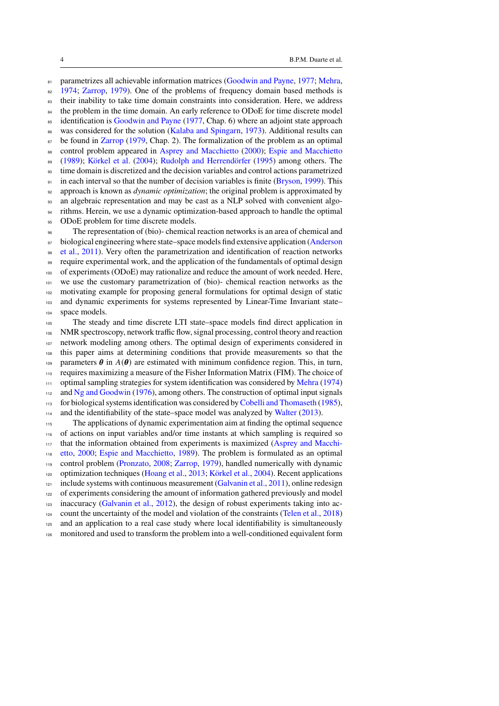81 parametrizes all achievable information matrices [\(Goodwin and Payne,](#page-30-2) [1977;](#page-30-2) [Mehra,](#page-31-0) [1974;](#page-31-0) [Zarrop,](#page-32-2) [1979\)](#page-32-2). One of the problems of frequency domain based methods is <sup>83</sup> their inability to take time domain constraints into consideration. Here, we address <sup>84</sup> the problem in the time domain. An early reference to ODoE for time discrete model <sup>85</sup> identification is [Goodwin and Payne](#page-30-2) [\(1977,](#page-30-2) Chap. 6) where an adjoint state approach was considered for the solution [\(Kalaba and Spingarn,](#page-30-5) [1973\)](#page-30-5). Additional results can be found in [Zarrop](#page-32-2) [\(1979,](#page-32-2) Chap. 2). The formalization of the problem as an optimal 88 control problem appeared in [Asprey and Macchietto](#page-28-2) [\(2000\)](#page-28-2); [Espie and Macchietto](#page-29-0) [\(1989\)](#page-29-0); [Körkel et al.](#page-30-6) [\(2004\)](#page-30-6); [Rudolph and Herrendörfer](#page-31-1) [\(1995\)](#page-31-1) among others. The time domain is discretized and the decision variables and control actions parametrized  $_{91}$  in each interval so that the number of decision variables is finite [\(Bryson,](#page-28-3) [1999\)](#page-28-3). This approach is known as *dynamic optimization*; the original problem is approximated by an algebraic representation and may be cast as a NLP solved with convenient algo- rithms. Herein, we use a dynamic optimization-based approach to handle the optimal 95 ODoE problem for time discrete models. The representation of (bio)- chemical reaction networks is an area of chemical and [b](#page-28-4)iological engineering where state–space models find extensive application [\(Anderson](#page-28-4) [et al.,](#page-28-4) [2011\)](#page-28-4). Very often the parametrization and identification of reaction networks require experimental work, and the application of the fundamentals of optimal design of experiments (ODoE) may rationalize and reduce the amount of work needed. Here, we use the customary parametrization of (bio)- chemical reaction networks as the motivating example for proposing general formulations for optimal design of static 103 and dynamic experiments for systems represented by Linear-Time Invariant state– space models. The steady and time discrete LTI state–space models find direct application in NMR spectroscopy, network traffic flow, signal processing, control theory and reaction network modeling among others. The optimal design of experiments considered in this paper aims at determining conditions that provide measurements so that the 109 parameters  $\theta$  in  $A(\theta)$  are estimated with minimum confidence region. This, in turn, requires maximizing a measure of the Fisher Information Matrix (FIM). The choice of optimal sampling strategies for system identification was considered by [Mehra](#page-31-0) [\(1974\)](#page-31-0)

and [Ng and Goodwin](#page-31-2) [\(1976\)](#page-31-2), among others. The construction of optimal input signals

113 for biological systems identification was considered by [Cobelli and Thomaseth](#page-28-5) [\(1985\)](#page-28-5),

and the identifiability of the state–space model was analyzed by [Walter](#page-32-3) [\(2013\)](#page-32-3).

 The applications of dynamic experimentation aim at finding the optimal sequence of actions on input variables and/or time instants at which sampling is required so [t](#page-28-2)hat the information obtained from experiments is maximized [\(Asprey and Macchi-](#page-28-2) [etto,](#page-28-2) [2000;](#page-28-2) [Espie and Macchietto,](#page-29-0) [1989\)](#page-29-0). The problem is formulated as an optimal control problem [\(Pronzato,](#page-31-3) [2008;](#page-31-3) [Zarrop,](#page-32-2) [1979\)](#page-32-2), handled numerically with dynamic optimization techniques [\(Hoang et al.,](#page-30-7) [2013;](#page-30-7) [Körkel et al.,](#page-30-6) [2004\)](#page-30-6). Recent applications include systems with continuous measurement [\(Galvanin et al.,](#page-30-8) [2011\)](#page-30-8), online redesign <sup>122</sup> of experiments considering the amount of information gathered previously and model inaccuracy [\(Galvanin et al.,](#page-29-1) [2012\)](#page-29-1), the design of robust experiments taking into ac- count the uncertainty of the model and violation of the constraints [\(Telen et al.,](#page-32-4) [2018\)](#page-32-4) and an application to a real case study where local identifiability is simultaneously

monitored and used to transform the problem into a well-conditioned equivalent form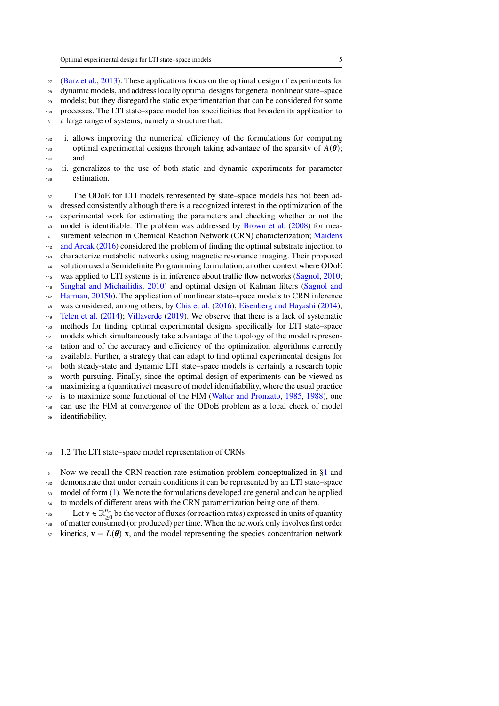[\(Barz et al.,](#page-28-6) [2013\)](#page-28-6). These applications focus on the optimal design of experiments for

dynamic models, and address locally optimal designs for general nonlinear state–space

models; but they disregard the static experimentation that can be considered for some

- processes. The LTI state–space model has specificities that broaden its application to
- 131 a large range of systems, namely a structure that:
- i. allows improving the numerical efficiency of the formulations for computing 133 optimal experimental designs through taking advantage of the sparsity of  $A(\theta)$ ; and
- ii. generalizes to the use of both static and dynamic experiments for parameter estimation.

137 The ODoE for LTI models represented by state–space models has not been ad-138 dressed consistently although there is a recognized interest in the optimization of the experimental work for estimating the parameters and checking whether or not the  $_{140}$  model is identifiable. The problem was addressed by [Brown et al.](#page-28-7) [\(2008\)](#page-28-7) for mea<[s](#page-30-9)up>141</sup> surement selection in Chemical Reaction Network (CRN) characterization; [Maidens](#page-30-9) [and Arcak](#page-30-9) [\(2016\)](#page-30-9) considered the problem of finding the optimal substrate injection to characterize metabolic networks using magnetic resonance imaging. Their proposed solution used a Semidefinite Programming formulation; another context where ODoE <sup>145</sup> was applied to LTI systems is in inference about traffic flow networks [\(Sagnol,](#page-31-4) [2010;](#page-31-4) [Singhal and Michailidis,](#page-32-5) [2010\)](#page-32-5) and optimal design of Kalman filters [\(Sagnol and](#page-31-5) [Harman,](#page-31-5) [2015b\)](#page-31-5). The application of nonlinear state–space models to CRN inference was considered, among others, by [Chis et al.](#page-28-8) [\(2016\)](#page-28-8); [Eisenberg and Hayashi](#page-29-2) [\(2014\)](#page-29-2); [Telen et al.](#page-32-6) [\(2014\)](#page-32-6); [Villaverde](#page-32-7) [\(2019\)](#page-32-7). We observe that there is a lack of systematic methods for finding optimal experimental designs specifically for LTI state–space models which simultaneously take advantage of the topology of the model represen- tation and of the accuracy and efficiency of the optimization algorithms currently available. Further, a strategy that can adapt to find optimal experimental designs for both steady-state and dynamic LTI state–space models is certainly a research topic worth pursuing. Finally, since the optimal design of experiments can be viewed as maximizing a (quantitative) measure of model identifiability, where the usual practice is to maximize some functional of the FIM [\(Walter and Pronzato,](#page-32-8) [1985,](#page-32-8) [1988\)](#page-32-9), one can use the FIM at convergence of the ODoE problem as a local check of model identifiability.

1.2 The LTI state–space model representation of CRNs

Now we recall the CRN reaction rate estimation problem conceptualized in [§1](#page-1-0) and

 demonstrate that under certain conditions it can be represented by an LTI state–space model of form  $(1)$ . We note the formulations developed are general and can be applied 164 to models of different areas with the CRN parametrization being one of them.

Let **v**  $\in \mathbb{R}_{>0}^{n_r}$ <sup>165</sup> Let  $\mathbf{v} \in \mathbb{R}_{\geq 0}^{n_r}$  be the vector of fluxes (or reaction rates) expressed in units of quantity

of matter consumed (or produced) per time. When the network only involves first order

 $\text{167}$  kinetics,  $\mathbf{v} = L(\theta) \mathbf{x}$ , and the model representing the species concentration network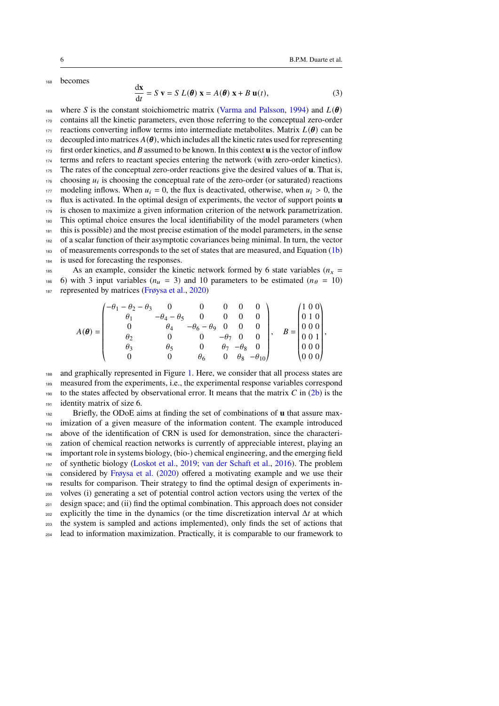**becomes** 

$$
\frac{d\mathbf{x}}{dt} = S \mathbf{v} = S L(\boldsymbol{\theta}) \mathbf{x} = A(\boldsymbol{\theta}) \mathbf{x} + B \mathbf{u}(t),
$$
 (3)

<sup>169</sup> where S is the constant stoichiometric matrix [\(Varma and Palsson,](#page-32-10) [1994\)](#page-32-10) and  $L(\theta)$  contains all the kinetic parameters, even those referring to the conceptual zero-order 171 reactions converting inflow terms into intermediate metabolites. Matrix  $L(\theta)$  can be decoupled into matrices  $A(\theta)$ , which includes all the kinetic rates used for representing first order kinetics, and B assumed to be known. In this context **u** is the vector of inflow terms and refers to reactant species entering the network (with zero-order kinetics). The rates of the conceptual zero-order reactions give the desired values of **u**. That is, choosing  $u_i$  is choosing the conceptual rate of the zero-order (or saturated) reactions 177 modeling inflows. When  $u_i = 0$ , the flux is deactivated, otherwise, when  $u_i > 0$ , the flux is activated. In the optimal design of experiments, the vector of support points **u** is chosen to maximize a given information criterion of the network parametrization. This optimal choice ensures the local identifiability of the model parameters (when this is possible) and the most precise estimation of the model parameters, in the sense of a scalar function of their asymptotic covariances being minimal. In turn, the vector of measurements corresponds to the set of states that are measured, and Equation [\(1b\)](#page-2-1) is used for forecasting the responses.

<sup>185</sup> As an example, consider the kinetic network formed by 6 state variables ( $n_x$  = 186 6) with 3 input variables ( $n_u = 3$ ) and 10 parameters to be estimated ( $n_\theta = 10$ ) <sup>187</sup> represented by matrices [\(Frøysa et al.,](#page-29-3) [2020\)](#page-29-3)

$$
A(\theta) = \begin{pmatrix} -\theta_1 - \theta_2 - \theta_3 & 0 & 0 & 0 & 0 & 0 \\ \theta_1 & -\theta_4 - \theta_5 & 0 & 0 & 0 & 0 \\ 0 & \theta_4 & -\theta_6 - \theta_9 & 0 & 0 & 0 \\ \theta_2 & 0 & 0 & -\theta_7 & 0 & 0 \\ \theta_3 & \theta_5 & 0 & \theta_7 & -\theta_8 & 0 \\ 0 & 0 & \theta_6 & 0 & \theta_8 & -\theta_{10} \end{pmatrix}, \quad B = \begin{pmatrix} 1 & 0 & 0 \\ 0 & 1 & 0 \\ 0 & 0 & 0 \\ 0 & 0 & 0 \\ 0 & 0 & 0 \end{pmatrix},
$$

«  $^{\prime}$ «  $^{\prime}$ <sup>188</sup> and graphically represented in Figure [1.](#page-6-0) Here, we consider that all process states are <sup>189</sup> measured from the experiments, i.e., the experimental response variables correspond 190 to the states affected by observational error. It means that the matrix  $C$  in [\(2b\)](#page-2-3) is the <sup>191</sup> identity matrix of size 6.

 Briefly, the ODoE aims at finding the set of combinations of **u** that assure max- imization of a given measure of the information content. The example introduced above of the identification of CRN is used for demonstration, since the characteri- zation of chemical reaction networks is currently of appreciable interest, playing an important role in systems biology, (bio-) chemical engineering, and the emerging field of synthetic biology [\(Loskot et al.,](#page-30-0) [2019;](#page-30-0) [van der Schaft et al.,](#page-32-11) [2016\)](#page-32-11). The problem considered by [Frøysa et al.](#page-29-3) [\(2020\)](#page-29-3) offered a motivating example and we use their results for comparison. Their strategy to find the optimal design of experiments in- volves (i) generating a set of potential control action vectors using the vertex of the <sub>201</sub> design space; and (ii) find the optimal combination. This approach does not consider explicitly the time in the dynamics (or the time discretization interval  $\Delta t$  at which the system is sampled and actions implemented), only finds the set of actions that lead to information maximization. Practically, it is comparable to our framework to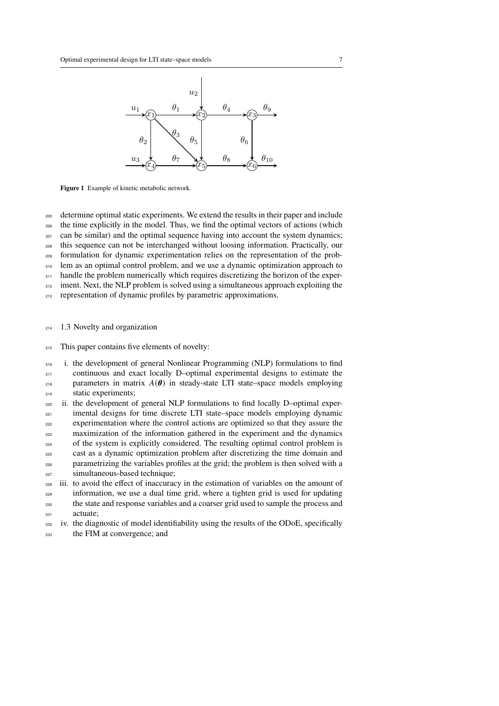

<span id="page-6-0"></span>**Figure 1** Example of kinetic metabolic network.

<sup>205</sup> determine optimal static experiments. We extend the results in their paper and include

<sup>206</sup> the time explicitly in the model. Thus, we find the optimal vectors of actions (which

 $207$  can be similar) and the optimal sequence having into account the system dynamics;

<sup>208</sup> this sequence can not be interchanged without loosing information. Practically, our

<sup>209</sup> formulation for dynamic experimentation relies on the representation of the prob-

<sup>210</sup> lem as an optimal control problem, and we use a dynamic optimization approach to

 $_{211}$  handle the problem numerically which requires discretizing the horizon of the exper-

<sup>212</sup> iment. Next, the NLP problem is solved using a simultaneous approach exploiting the

- <sup>213</sup> representation of dynamic profiles by parametric approximations.
- <sup>214</sup> 1.3 Novelty and organization
- <sup>215</sup> This paper contains five elements of novelty:

 i. the development of general Nonlinear Programming (NLP) formulations to find continuous and exact locally D–optimal experimental designs to estimate the 218 parameters in matrix  $A(\theta)$  in steady-state LTI state–space models employing static experiments;

ii. the development of general NLP formulations to find locally D–optimal exper-<sub>221</sub> imental designs for time discrete LTI state–space models employing dynamic experimentation where the control actions are optimized so that they assure the <sup>223</sup> maximization of the information gathered in the experiment and the dynamics <sup>224</sup> of the system is explicitly considered. The resulting optimal control problem is <sup>225</sup> cast as a dynamic optimization problem after discretizing the time domain and parametrizing the variables profiles at the grid; the problem is then solved with a <sup>227</sup> simultaneous-based technique;

- <sup>228</sup> iii. to avoid the effect of inaccuracy in the estimation of variables on the amount of <sup>229</sup> information, we use a dual time grid, where a tighten grid is used for updating <sup>230</sup> the state and response variables and a coarser grid used to sample the process and <sup>231</sup> actuate;
- <sup>232</sup> iv. the diagnostic of model identifiability using the results of the ODoE, specifically <sup>233</sup> the FIM at convergence; and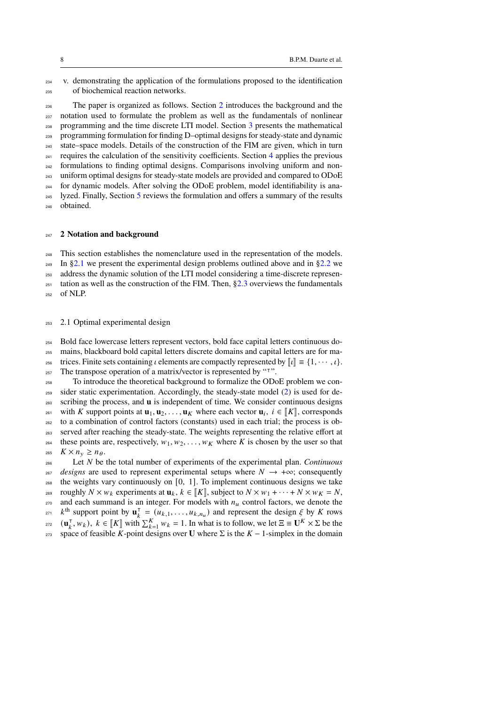v. demonstrating the application of the formulations proposed to the identification of biochemical reaction networks.

 The paper is organized as follows. Section [2](#page-7-0) introduces the background and the notation used to formulate the problem as well as the fundamentals of nonlinear programming and the time discrete LTI model. Section [3](#page-13-0) presents the mathematical programming formulation for finding D–optimal designs for steady-state and dynamic state–space models. Details of the construction of the FIM are given, which in turn  $241$  $241$  requires the calculation of the sensitivity coefficients. Section 4 applies the previous formulations to finding optimal designs. Comparisons involving uniform and non- uniform optimal designs for steady-state models are provided and compared to ODoE for dynamic models. After solving the ODoE problem, model identifiability is ana-<sup>24[5](#page-27-0)</sup> lyzed. Finally, Section 5 reviews the formulation and offers a summary of the results obtained.

### <span id="page-7-0"></span>**2 Notation and background**

 This section establishes the nomenclature used in the representation of the models. In [§2.1](#page-7-1) we present the experimental design problems outlined above and in [§2.2](#page-10-0) we address the dynamic solution of the LTI model considering a time-discrete represen- tation as well as the construction of the FIM. Then,  $\S2.3$  overviews the fundamentals  $_{252}$  of NLP.

# <span id="page-7-1"></span>2.1 Optimal experimental design

Bold face lowercase letters represent vectors, bold face capital letters continuous do-

mains, blackboard bold capital letters discrete domains and capital letters are for ma-

256 trices. Finite sets containing *t* elements are compactly represented by  $[[t]] \equiv \{1, \dots, t\}$ .<br>
257 The transpose operation of a matrix/vector is represented by "<sup>T</sup>".  $_{257}$  The transpose operation of a matrix/vector is represented by " $\overline{1}$ ".

 To introduce the theoretical background to formalize the ODoE problem we con- sider static experimentation. Accordingly, the steady-state model [\(2\)](#page-2-4) is used for de- scribing the process, and **u** is independent of time. We consider continuous designs with K support points at  $\mathbf{u}_1, \mathbf{u}_2, \ldots, \mathbf{u}_K$  where each vector  $\mathbf{u}_i, i \in [\![K]\!]$ , corresponds  $\cdots$  to a combination of control factors (constants) used in each trial; the process is ob to a combination of control factors (constants) used in each trial; the process is ob- served after reaching the steady-state. The weights representing the relative effort at 264 these points are, respectively,  $w_1, w_2, \ldots, w_k$  where K is chosen by the user so that  $K \times n_v \geq n_\theta$ . Let be the total number of experiments of the experimental plan. *Continuous*

 $\text{267}$  *designs* are used to represent experimental setups where  $N \rightarrow +\infty$ ; consequently the weights vary continuously on [0, 1]. To implement continuous designs we take <sup>269</sup> roughly  $N \times w_k$  experiments at  $\mathbf{u}_k, k \in [K]$ , subject to  $N \times w_1 + \cdots + N \times w_K = N$ ,<br><sup>270</sup> and each summand is an integer. For models with *n*<sub>*u*</sub> control factors, we denote the and each summand is an integer. For models with  $n<sub>u</sub>$  control factors, we denote the  $k^{\text{th}}$  support point by  $\mathbf{u}_k^{\text{T}}$ <sup>271</sup>  $k^{\text{th}}$  support point by  $\mathbf{u}_k^{\dagger} = (u_{k,1}, \dots, u_{k,n_u})$  and represent the design  $\xi$  by K rows  $(\mathbf{u}_k^{\mathsf{T}})$  $\mathbf{u}_k^T, w_k$ ,  $k \in [\![K]\!]$  with  $\sum_{k=1}^K w_k = 1$ . In what is to follow, we let  $\Xi \equiv \mathbf{U}^K \times \Sigma$  be the <sup>273</sup> space of feasible K-point designs over **U** where  $\Sigma$  is the  $K - 1$ -simplex in the domain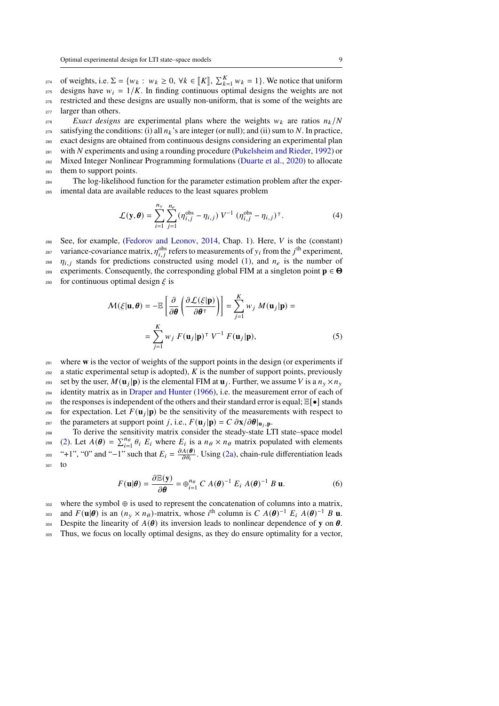<sup>274</sup> of weights, i.e.  $\Sigma = \{w_k : w_k \ge 0, \forall k \in [K], \sum_{k=1}^K w_k = 1\}$ . We notice that uniform  $_{275}$  designs have  $w_i = 1/K$ . In finding continuous optimal designs the weights are not <sup>276</sup> restricted and these designs are usually non-uniform, that is some of the weights are <sub>277</sub> larger than others.

 $Exact$  *Exact designs* are experimental plans where the weights  $w_k$  are ratios  $n_k/N$ 279 satisfying the conditions: (i) all  $n_k$ 's are integer (or null); and (ii) sum to N. In practice, <sup>280</sup> exact designs are obtained from continuous designs considering an experimental plan  $_{281}$  with N experiments and using a rounding procedure [\(Pukelsheim and Rieder,](#page-31-6) [1992\)](#page-31-6) or <sup>282</sup> Mixed Integer Nonlinear Programming formulations [\(Duarte et al.,](#page-29-4) [2020\)](#page-29-4) to allocate <sup>283</sup> them to support points.

<sup>284</sup> The log-likelihood function for the parameter estimation problem after the exper-<sup>285</sup> imental data are available reduces to the least squares problem

$$
\mathcal{L}(\mathbf{y}, \boldsymbol{\theta}) = \sum_{i=1}^{n_y} \sum_{j=1}^{n_e} (\eta_{i,j}^{\text{obs}} - \eta_{i,j}) V^{-1} (\eta_{i,j}^{\text{obs}} - \eta_{i,j})^{\top}.
$$
 (4)

See, for example, [\(Fedorov and Leonov,](#page-29-5) [2014,](#page-29-5) Chap. 1). Here,  $V$  is the (constant)

<sup>287</sup> variance-covariance matrix,  $\eta_{i,i}^{\text{obs}}$  refers to measurements of  $y_i$  from the j<sup>th</sup> experiment,

<sup>288</sup>  $\eta_{i,j}$  stands for predictions constructed using model [\(1\)](#page-2-2), and  $n_e$  is the number of

experiments. Consequently, the corresponding global FIM at a singleton point  $p \in \Theta$ 

290 for continuous optimal design  $\xi$  is

<span id="page-8-1"></span>
$$
\mathcal{M}(\xi | \mathbf{u}, \boldsymbol{\theta}) = -\mathbb{E}\left[\frac{\partial}{\partial \boldsymbol{\theta}} \left(\frac{\partial \mathcal{L}(\xi | \mathbf{p})}{\partial \boldsymbol{\theta}^{\top}}\right)\right] = \sum_{j=1}^{K} w_j \, M(\mathbf{u}_j | \mathbf{p}) =
$$

$$
= \sum_{j=1}^{K} w_j \, F(\mathbf{u}_j | \mathbf{p})^{\top} \, V^{-1} \, F(\mathbf{u}_j | \mathbf{p}), \tag{5}
$$

<sup>291</sup> where **w** is the vector of weights of the support points in the design (or experiments if  $292$  a static experimental setup is adopted), K is the number of support points, previously set by the user,  $M(\mathbf{u}_i|\mathbf{p})$  is the elemental FIM at  $\mathbf{u}_i$ . Further, we assume V is a  $n_v \times n_v$  $_{294}$  identity matrix as in [Draper and Hunter](#page-29-6) [\(1966\)](#page-29-6), i.e. the measurement error of each of 295 the responses is independent of the others and their standard error is equal;  $\mathbb{E}[\bullet]$  stands <sup>296</sup> for expectation. Let  $F(\mathbf{u}_i|\mathbf{p})$  be the sensitivity of the measurements with respect to the parameters at support point j, i.e.,  $F(\mathbf{u}_j|\mathbf{p}) = C \frac{\partial \mathbf{x}}{\partial \mathbf{\theta}}|_{\mathbf{u}_j, \mathbf{p}}$ .

<sup>298</sup> To derive the sensitivity matrix consider the steady-state LTI state–space model [\(2\)](#page-2-4). Let  $A(\theta) = \sum_{i=1}^{n_{\theta}} \theta_i E_i$  where  $E_i$  is a  $n_{\theta} \times n_{\theta}$  matrix populated with elements "+1", "0" and "-1" such that  $E_i = \frac{\partial A(\theta)}{\partial \theta_i}$ <sup>300</sup> "+1", "0" and "-1" such that  $E_i = \frac{\partial A(\boldsymbol{\theta})}{\partial \theta_i}$ . Using [\(2a\)](#page-2-5), chain-rule differentiation leads <sup>301</sup> to

<span id="page-8-0"></span>
$$
F(\mathbf{u}|\boldsymbol{\theta}) = \frac{\partial \mathbb{E}(\mathbf{y})}{\partial \boldsymbol{\theta}} = \oplus_{i=1}^{n_{\theta}} C A(\boldsymbol{\theta})^{-1} E_i A(\boldsymbol{\theta})^{-1} B \mathbf{u}.
$$
 (6)

<sup>302</sup> where the symbol ⊕ is used to represent the concatenation of columns into a matrix, and  $F(\mathbf{u}|\boldsymbol{\theta})$  is an  $(n_v \times n_{\theta})$ -matrix, whose i<sup>th</sup> column is  $C A(\boldsymbol{\theta})^{-1} E_i A(\boldsymbol{\theta})^{-1} B \mathbf{u}$ .

Despite the linearity of  $A(\theta)$  its inversion leads to nonlinear dependence of **y** on  $\theta$ .

<sup>305</sup> Thus, we focus on locally optimal designs, as they do ensure optimality for a vector,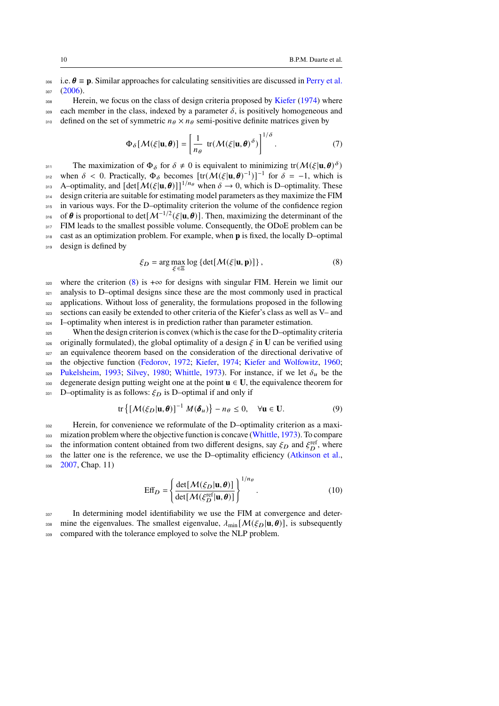i.e.  $\theta \equiv \mathbf{p}$ . Similar approaches for calculating sensitivities are discussed in [Perry et al.](#page-31-7)  $307 (2006)$  $307 (2006)$ .

<sup>308</sup> Herein, we focus on the class of design criteria proposed by [Kiefer](#page-30-10) [\(1974\)](#page-30-10) where 309 each member in the class, indexed by a parameter  $\delta$ , is positively homogeneous and 310 defined on the set of symmetric  $n_\theta \times n_\theta$  semi-positive definite matrices given by

$$
\Phi_{\delta}[\mathcal{M}(\xi|\mathbf{u},\boldsymbol{\theta})] = \left[\frac{1}{n_{\theta}} \operatorname{tr}(\mathcal{M}(\xi|\mathbf{u},\boldsymbol{\theta})^{\delta})\right]^{1/\delta}.
$$
 (7)

The maximization of  $\Phi_{\delta}$  for  $\delta \neq 0$  is equivalent to minimizing tr( $M(\xi | \mathbf{u}, \boldsymbol{\theta})^{\delta}$ ) <sup>312</sup> when  $\delta$  < 0. Practically,  $\Phi_{\delta}$  becomes  $[\text{tr}(\mathcal{M}(\xi|\mathbf{u}, \boldsymbol{\theta})^{-1})]^{-1}$  for  $\delta = -1$ , which is 313 A–optimality, and  $[\det[\mathcal{M}(\xi|\mathbf{u}, \theta)]]^{1/n_\theta}$  when  $\delta \to 0$ , which is D–optimality. These 314 design criteria are suitable for estimating model parameters as they maximize the FIM 315 in various ways. For the D-optimality criterion the volume of the confidence region <sup>316</sup> of **θ** is proportional to det[ $\mathcal{M}^{-1/2}(\xi | \mathbf{u}, \boldsymbol{\theta})$ ]. Then, maximizing the determinant of the  $317$  FIM leads to the smallest possible volume. Consequently, the ODoE problem can be <sup>318</sup> cast as an optimization problem. For example, when **p** is fixed, the locally D–optimal 319 design is defined by

<span id="page-9-0"></span>
$$
\xi_D = \arg \max_{\xi \in \Xi} \log \{ \det[\mathcal{M}(\xi | \mathbf{u}, \mathbf{p})] \},\tag{8}
$$

320 where the criterion [\(8\)](#page-9-0) is  $+\infty$  for designs with singular FIM. Herein we limit our analysis to D–optimal designs since these are the most commonly used in practical applications. Without loss of generality, the formulations proposed in the following sections can easily be extended to other criteria of the Kiefer's class as well as V– and I–optimality when interest is in prediction rather than parameter estimation.

When the design criterion is convex (which is the case for the D–optimality criteria originally formulated), the global optimality of a design  $\xi$  in **U** can be verified using <sup>327</sup> an equivalence theorem based on the consideration of the directional derivative of <sup>328</sup> the objective function [\(Fedorov,](#page-29-7) [1972;](#page-29-7) [Kiefer,](#page-30-10) [1974;](#page-30-10) [Kiefer and Wolfowitz,](#page-30-11) [1960;](#page-30-11) 329 [Pukelsheim,](#page-31-8) [1993;](#page-31-8) [Silvey,](#page-32-12) [1980;](#page-32-12) [Whittle,](#page-32-13) [1973\)](#page-32-13). For instance, if we let  $\delta_u$  be the 330 degenerate design putting weight one at the point  $\mathbf{u} \in \mathbf{U}$ , the equivalence theorem for 331 D–optimality is as follows:  $\xi_D$  is D–optimal if and only if

<span id="page-9-2"></span>
$$
\text{tr}\left\{ \left[ \mathcal{M}(\xi_D | \mathbf{u}, \boldsymbol{\theta}) \right]^{-1} \mathcal{M}(\boldsymbol{\delta}_u) \right\} - n_{\boldsymbol{\theta}} \le 0, \quad \forall \mathbf{u} \in \mathbf{U}.
$$
 (9)

<sup>332</sup> Herein, for convenience we reformulate of the D–optimality criterion as a maxi-<sup>333</sup> mization problem where the objective function is concave [\(Whittle,](#page-32-13) [1973\)](#page-32-13). To compare <sup>334</sup> the information content obtained from two different designs, say  $\xi_D$  and  $\xi_D^{\text{ref}}$ , where 335 the latter one is the reference, we use the D–optimality efficiency [\(Atkinson et al.,](#page-28-9)  $336$  [2007,](#page-28-9) Chap. 11)

<span id="page-9-1"></span>
$$
\text{Eff}_D = \left\{ \frac{\det[\mathcal{M}(\xi_D|\mathbf{u}, \boldsymbol{\theta})]}{\det[\mathcal{M}(\xi_D^{\text{ref}}|\mathbf{u}, \boldsymbol{\theta})]} \right\}^{1/n_{\theta}}.
$$
 (10)

<sup>337</sup> In determining model identifiability we use the FIM at convergence and deter-338 mine the eigenvalues. The smallest eigenvalue,  $\lambda_{\text{min}}[\mathcal{M}(\xi_D | \mathbf{u}, \boldsymbol{\theta})]$ , is subsequently 339 compared with the tolerance employed to solve the NLP problem.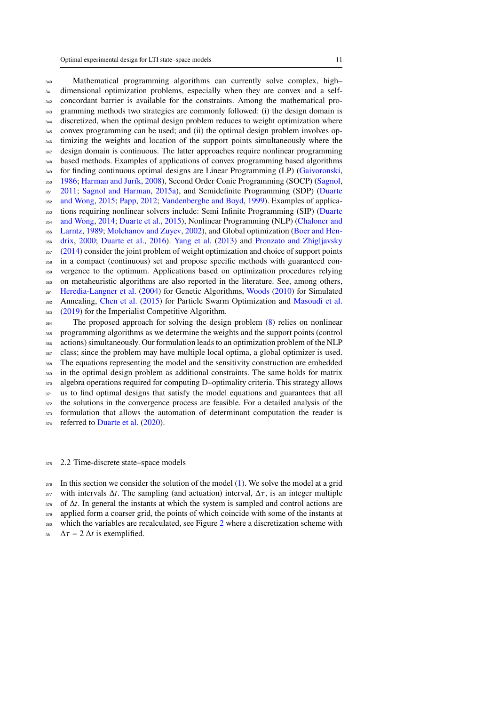340 Mathematical programming algorithms can currently solve complex, high-<sup>341</sup> dimensional optimization problems, especially when they are convex and a self- concordant barrier is available for the constraints. Among the mathematical pro- gramming methods two strategies are commonly followed: (i) the design domain is discretized, when the optimal design problem reduces to weight optimization where convex programming can be used; and (ii) the optimal design problem involves op- timizing the weights and location of the support points simultaneously where the <sup>347</sup> design domain is continuous. The latter approaches require nonlinear programming based methods. Examples of applications of convex programming based algorithms <sup>349</sup> for finding continuous optimal designs are Linear Programming (LP) [\(Gaivoronski,](#page-29-8) [1986;](#page-29-8) [Harman and Jurík,](#page-30-12) [2008\)](#page-30-12), Second Order Conic Programming (SOCP) [\(Sagnol,](#page-31-9) [2011;](#page-31-9) [Sagnol and Harman,](#page-31-10) [2015a\)](#page-31-10), and Semidefinite Programming (SDP) [\(Duarte](#page-29-9) [and Wong,](#page-29-9) [2015;](#page-29-9) [Papp,](#page-31-11) [2012;](#page-31-11) [Vandenberghe and Boyd,](#page-32-14) [1999\)](#page-32-14). Examples of applica<sup>353</sup> [t](#page-29-10)ions requiring nonlinear solvers include: Semi Infinite Programming (SIP) [\(Duarte](#page-29-10) [and Wong,](#page-29-10) [2014;](#page-29-10) [Duarte et al.,](#page-29-11) [2015\)](#page-29-11), Nonlinear Programming (NLP) [\(Chaloner and](#page-28-10) [Larntz,](#page-28-10) [1989;](#page-28-10) [Molchanov and Zuyev,](#page-31-12) [2002\)](#page-31-12), and Global optimization [\(Boer and Hen-](#page-28-11) [drix,](#page-28-11) [2000;](#page-28-11) [Duarte et al.,](#page-29-12) [2016\)](#page-29-12). [Yang et al.](#page-32-15) [\(2013\)](#page-32-15) and [Pronzato and Zhigljavsky](#page-31-13) [\(2014\)](#page-31-13) consider the joint problem of weight optimization and choice of support points in a compact (continuous) set and propose specific methods with guaranteed con- vergence to the optimum. Applications based on optimization procedures relying on metaheuristic algorithms are also reported in the literature. See, among others, [Heredia-Langner et al.](#page-30-13) [\(2004\)](#page-30-13) for Genetic Algorithms, [Woods](#page-32-16) [\(2010\)](#page-32-16) for Simulated Annealing, [Chen et al.](#page-28-12) [\(2015\)](#page-28-12) for Particle Swarm Optimization and [Masoudi et al.](#page-31-14) [\(2019\)](#page-31-14) for the Imperialist Competitive Algorithm. <sup>364</sup> The proposed approach for solving the design problem [\(8\)](#page-9-0) relies on nonlinear programming algorithms as we determine the weights and the support points (control actions) simultaneously. Our formulation leads to an optimization problem of the NLP class; since the problem may have multiple local optima, a global optimizer is used. The equations representing the model and the sensitivity construction are embedded in the optimal design problem as additional constraints. The same holds for matrix algebra operations required for computing D–optimality criteria. This strategy allows us to find optimal designs that satisfy the model equations and guarantees that all

the solutions in the convergence process are feasible. For a detailed analysis of the

<sup>373</sup> formulation that allows the automation of determinant computation the reader is

374 referred to [Duarte et al.](#page-29-4) [\(2020\)](#page-29-4).

#### <span id="page-10-0"></span>2.2 Time-discrete state–space models

 In this section we consider the solution of the model [\(1\)](#page-2-2). We solve the model at a grid 377 with intervals  $\Delta t$ . The sampling (and actuation) interval,  $\Delta \tau$ , is an integer multiple of  $\Delta t$ . In general the instants at which the system is sampled and control actions are 379 applied form a coarser grid, the points of which coincide with some of the instants at which the variables are recalculated, see Figure [2](#page-11-0) where a discretization scheme with  $\Delta \tau = 2 \Delta t$  is exemplified.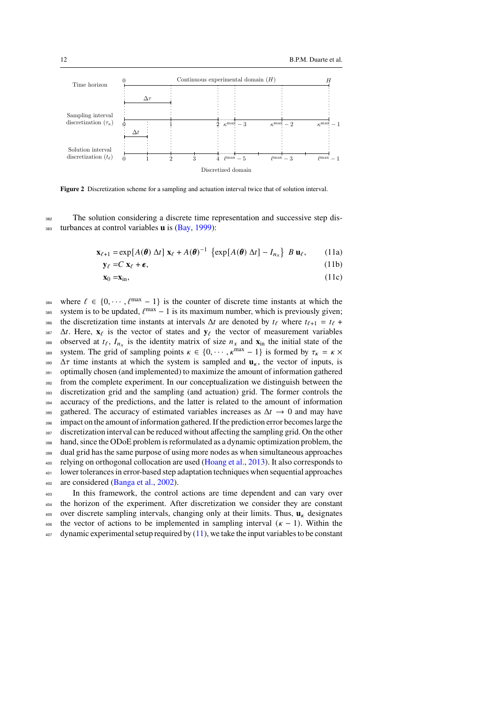

<span id="page-11-0"></span>**Figure 2** Discretization scheme for a sampling and actuation interval twice that of solution interval.

<sup>382</sup> The solution considering a discrete time representation and successive step dis-<sup>383</sup> turbances at control variables **u** is [\(Bay,](#page-28-13) [1999\)](#page-28-13):

$$
\mathbf{x}_{\ell+1} = \exp[A(\boldsymbol{\theta}) \; \Delta t] \; \mathbf{x}_{\ell} + A(\boldsymbol{\theta})^{-1} \; \left\{ \exp[A(\boldsymbol{\theta}) \; \Delta t] - I_{n_x} \right\} \; B \; \mathbf{u}_{\ell}, \qquad (11a)
$$

<span id="page-11-1"></span>
$$
\mathbf{y}_{\ell} = C \mathbf{x}_{\ell} + \boldsymbol{\epsilon},\tag{11b}
$$

<span id="page-11-2"></span>
$$
\mathbf{x}_0 = \mathbf{x}_{\text{in}},\tag{11c}
$$

where  $\ell \in \{0, \dots, \ell^{\max} - 1\}$  is the counter of discrete time instants at which the sss system is to be updated,  $\ell^{\max} - 1$  is its maximum number, which is previously given; 386 the discretization time instants at intervals  $\Delta t$  are denoted by  $t_{\ell}$  where  $t_{\ell+1} = t_{\ell} + t_{\ell}$ 387  $\Delta t$ . Here,  $\mathbf{x}_{\ell}$  is the vector of states and  $\mathbf{y}_{\ell}$  the vector of measurement variables boserved at  $t_{\ell}$ ,  $I_{n_x}$  is the identity matrix of size  $n_x$  and  $\mathbf{x}_{in}$  the initial state of the sse system. The grid of sampling points  $\kappa \in \{0, \dots, \kappa^{\max} - 1\}$  is formed by  $\tau_{\kappa} = \kappa \times$ 390  $\Delta \tau$  time instants at which the system is sampled and  $\mathbf{u}_{\kappa}$ , the vector of inputs, is <sup>391</sup> optimally chosen (and implemented) to maximize the amount of information gathered <sup>392</sup> from the complete experiment. In our conceptualization we distinguish between the <sup>393</sup> discretization grid and the sampling (and actuation) grid. The former controls the 394 accuracy of the predictions, and the latter is related to the amount of information 395 gathered. The accuracy of estimated variables increases as  $\Delta t \rightarrow 0$  and may have 396 impact on the amount of information gathered. If the prediction error becomes large the 397 discretization interval can be reduced without affecting the sampling grid. On the other <sup>398</sup> hand, since the ODoE problem is reformulated as a dynamic optimization problem, the <sup>399</sup> dual grid has the same purpose of using more nodes as when simultaneous approaches 400 relying on orthogonal collocation are used [\(Hoang et al.,](#page-30-7) [2013\)](#page-30-7). It also corresponds to <sup>401</sup> lower tolerances in error-based step adaptation techniques when sequential approaches <sup>402</sup> are considered [\(Banga et al.,](#page-28-14) [2002\)](#page-28-14).

<sup>403</sup> In this framework, the control actions are time dependent and can vary over <sup>404</sup> the horizon of the experiment. After discretization we consider they are constant 405 over discrete sampling intervals, changing only at their limits. Thus,  $\mathbf{u}_k$  designates 406 the vector of actions to be implemented in sampling interval  $(\kappa - 1)$ . Within the <sup>407</sup> dynamic experimental setup required by [\(11\)](#page-11-1), we take the input variables to be constant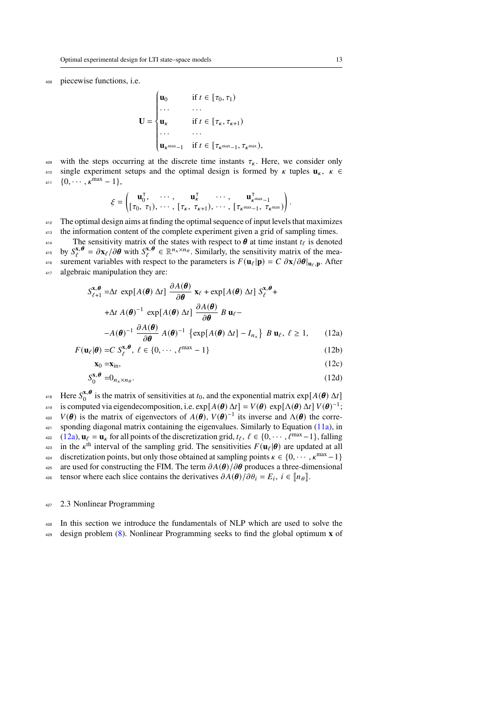piecewise functions, i.e.

$$
\mathbf{U} = \begin{cases} \mathbf{u}_0 & \text{if } t \in [\tau_0, \tau_1) \\ \dots & \dots \\ \mathbf{u}_k & \text{if } t \in [\tau_k, \tau_{k+1}) \\ \dots & \dots \\ \mathbf{u}_{k^{\max}-1} & \text{if } t \in [\tau_{k^{\max}-1}, \tau_{k^{\max}}), \end{cases}
$$

<sup>409</sup> with the steps occurring at the discrete time instants  $\tau_{\kappa}$ . Here, we consider only 410 single experiment setups and the optimal design is formed by  $\kappa$  tuples  $\mathbf{u}_{\kappa}$ ,  $\kappa \in$ 

 ${1}_{411} \quad \{0, \cdots, \kappa^{\max} - 1\},$ 

$$
\xi=\begin{pmatrix}\mathbf{u}_0^\intercal, & \cdots, & \mathbf{u}_\kappa^\intercal & \cdots, & \mathbf{u}_{\kappa^{\text{max}}-1}^\intercal\\ [\tau_0, \ \tau_1), & \cdots, & [\tau_\kappa, \ \tau_{\kappa+1}), & \cdots, & [\tau_{\kappa^{\text{max}}-1}, \ \tau_{\kappa^{\text{max}}}) \end{pmatrix}
$$

<sup>412</sup> The optimal design aims at finding the optimal sequence of input levels that maximizes

413 the information content of the complete experiment given a grid of sampling times. 414 The sensitivity matrix of the states with respect to  $\theta$  at time instant  $t_{\ell}$  is denoted <sup>415</sup> by  $S_{\ell}^{x,\theta} = \partial x_{\ell}/\partial \dot{\theta}$  with  $S_{\ell}^{x,\theta} \in \mathbb{R}^{n_x \times n_{\theta}}$ . Similarly, the sensitivity matrix of the mea-<sup>416</sup> surement variables with respect to the parameters is  $F(\mathbf{u}_{\ell}|\mathbf{p}) = C \frac{\partial \mathbf{x}}{\partial \theta} |_{\mathbf{u}_{\ell},\mathbf{p}}$ . After 417 algebraic manipulation they are:

$$
S_{\ell+1}^{\mathbf{x},\boldsymbol{\theta}} = \Delta t \exp[A(\boldsymbol{\theta}) \Delta t] \frac{\partial A(\boldsymbol{\theta})}{\partial \boldsymbol{\theta}} \mathbf{x}_{\ell} + \exp[A(\boldsymbol{\theta}) \Delta t] S_{\ell}^{\mathbf{x},\boldsymbol{\theta}} +
$$
  
+  $\Delta t A(\boldsymbol{\theta})^{-1} \exp[A(\boldsymbol{\theta}) \Delta t] \frac{\partial A(\boldsymbol{\theta})}{\partial \boldsymbol{\theta}} B \mathbf{u}_{\ell} -$   
-  $A(\boldsymbol{\theta})^{-1} \frac{\partial A(\boldsymbol{\theta})}{\partial \boldsymbol{\theta}} A(\boldsymbol{\theta})^{-1} {\exp[A(\boldsymbol{\theta}) \Delta t] - I_{n_{x}} B \mathbf{u}_{\ell}, \ell \ge 1, (12a)$ 

$$
F(\mathbf{u}_{\ell}|\boldsymbol{\theta}) = C \ S_{\ell}^{x,\boldsymbol{\theta}}, \ \ell \in \{0, \cdots, \ell^{\max} - 1\}
$$
 (12b)

$$
\mathbf{x}_0 = \mathbf{x}_{\text{in}},\tag{12c}
$$

$$
S_0^{\mathbf{x},\boldsymbol{\theta}} = 0_{n_x \times n_\theta}.
$$
 (12d)

Here  $S_0^{x, \theta}$ <sup>418</sup> Here  $S_0^{x,\theta}$  is the matrix of sensitivities at  $t_0$ , and the exponential matrix  $\exp[A(\theta) \Delta t]$ <sup>419</sup> is computed via eigendecomposition, i.e.  $exp[A(\theta) \Delta t] = V(\theta) exp[\Lambda(\theta) \Delta t] V(\theta)^{-1}$ ; <sup>420</sup>  $V(\theta)$  is the matrix of eigenvectors of  $A(\theta)$ ,  $V(\theta)^{-1}$  its inverse and  $\Lambda(\theta)$  the corre- $421$  sponding diagonal matrix containing the eigenvalues. Similarly to Equation [\(11a\)](#page-11-2), in  $u_{22}$  [\(12a\)](#page-12-1),  $\mathbf{u}_{\ell} = \mathbf{u}_{\kappa}$  for all points of the discretization grid,  $t_{\ell}$ ,  $\ell \in \{0, \cdots, \ell^{\max} - 1\}$ , falling <sup>423</sup> in the  $\kappa$ <sup>th</sup> interval of the sampling grid. The sensitivities  $F(\mathbf{u}_{\ell}|\boldsymbol{\theta})$  are updated at all discretization points, but only those obtained at sampling points  $\kappa \in \{0, \dots, \kappa^{\max} - 1\}$ 425 are used for constructing the FIM. The term  $\partial A(\theta)/\partial \theta$  produces a three-dimensional tensor where each slice contains the derivatives  $\partial A(\theta)/\partial \theta_i = E_i$ ,  $i \in [\![n_\theta]\!]$ .

# <span id="page-12-0"></span><sup>427</sup> 2.3 Nonlinear Programming

In this section we introduce the fundamentals of NLP which are used to solve the

<sup>429</sup> design problem [\(8\)](#page-9-0). Nonlinear Programming seeks to find the global optimum **x** of

<span id="page-12-2"></span><span id="page-12-1"></span>.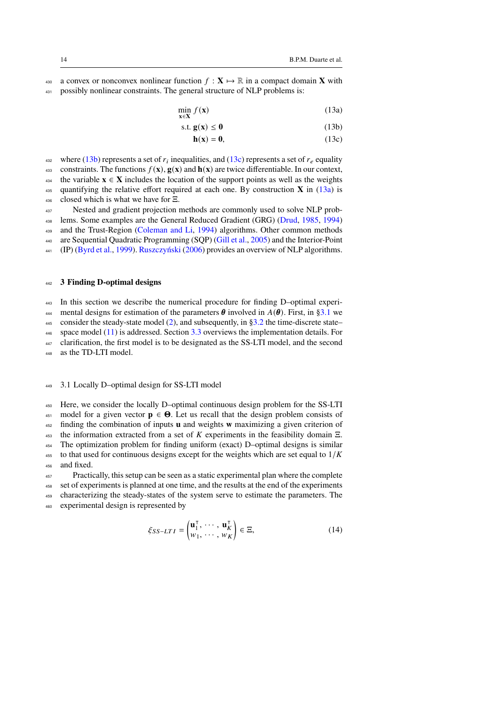430 a convex or nonconvex nonlinear function  $f : \mathbf{X} \mapsto \mathbb{R}$  in a compact domain **X** with <sup>431</sup> possibly nonlinear constraints. The general structure of NLP problems is:

> min **x**∈**X**  $f(\mathbf{x})$  (13a)

$$
\text{s.t. } \mathbf{g}(\mathbf{x}) \le \mathbf{0} \tag{13b}
$$

<span id="page-13-3"></span><span id="page-13-2"></span><span id="page-13-1"></span>
$$
\mathbf{h}(\mathbf{x}) = \mathbf{0},\tag{13c}
$$

where [\(13b\)](#page-13-1) represents a set of  $r_i$  inequalities, and [\(13c\)](#page-13-2) represents a set of  $r_e$  equality 433 constraints. The functions  $f(\mathbf{x})$ ,  $g(\mathbf{x})$  and  $h(\mathbf{x})$  are twice differentiable. In our context, 434 the variable  $x \in X$  includes the location of the support points as well as the weights <sup>435</sup> quantifying the relative effort required at each one. By construction **X** in [\(13a\)](#page-13-3) is <sup>436</sup> closed which is what we have for Ξ.

<sup>437</sup> Nested and gradient projection methods are commonly used to solve NLP prob-lems. Some examples are the General Reduced Gradient (GRG) [\(Drud,](#page-29-13) [1985,](#page-29-13) [1994\)](#page-29-14) <sup>439</sup> and the Trust-Region [\(Coleman and Li,](#page-28-15) [1994\)](#page-28-15) algorithms. Other common methods 440 are Sequential Quadratic Programming (SQP) [\(Gill et al.,](#page-30-14) [2005\)](#page-30-14) and the Interior-Point 441 (IP) [\(Byrd et al.,](#page-28-16) [1999\)](#page-28-16). [Ruszczyński](#page-31-15) [\(2006\)](#page-31-15) provides an overview of NLP algorithms.

#### <span id="page-13-0"></span><sup>442</sup> **3 Finding D-optimal designs**

<sup>443</sup> In this section we describe the numerical procedure for finding D–optimal experi-

444 mental designs for estimation of the parameters  $\theta$  involved in  $A(\theta)$ . First, in [§3.1](#page-13-4) we 445 consider the steady-state model  $(2)$ , and subsequently, in [§3.2](#page-15-0) the time-discrete state–

 $446$  space model [\(11\)](#page-11-1) is addressed. Section [3.3](#page-16-0) overviews the implementation details. For

447 clarification, the first model is to be designated as the SS-LTI model, and the second

<sup>448</sup> as the TD-LTI model.

# <span id="page-13-4"></span><sup>449</sup> 3.1 Locally D–optimal design for SS-LTI model

 Here, we consider the locally D–optimal continuous design problem for the SS-LTI 451 model for a given vector  $p \in \Theta$ . Let us recall that the design problem consists of finding the combination of inputs **u** and weights **w** maximizing a given criterion of 453 the information extracted from a set of  $K$  experiments in the feasibility domain  $\Xi$ . The optimization problem for finding uniform (exact) D–optimal designs is similar to that used for continuous designs except for the weights which are set equal to  $1/K$ and fixed.

 Practically, this setup can be seen as a static experimental plan where the complete set of experiments is planned at one time, and the results at the end of the experiments characterizing the steady-states of the system serve to estimate the parameters. The experimental design is represented by

$$
\xi_{SS-LTI} = \begin{pmatrix} \mathbf{u}_1^\top, & \cdots, & \mathbf{u}_K^\top \\ w_1, & \cdots, & w_K \end{pmatrix} \in \Xi,
$$
 (14)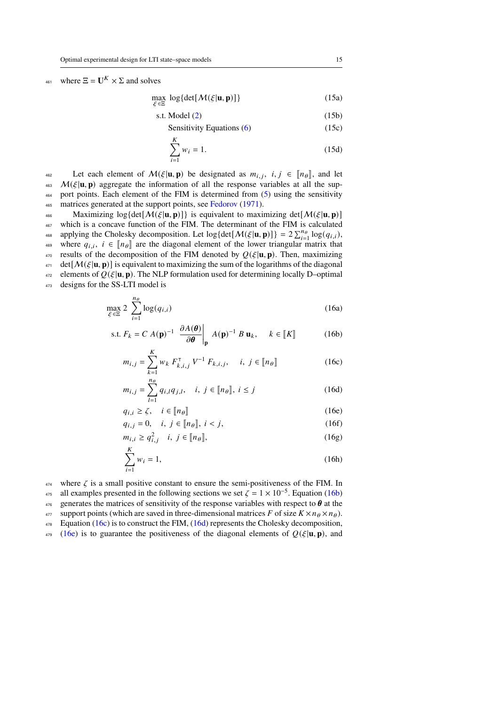# 461 where  $\Xi = \mathbf{U}^K \times \Sigma$  and solves

<span id="page-14-7"></span> $\max_{\xi \in \Xi} \log \{ \det[M(\xi | \mathbf{u}, \mathbf{p})] \}$  (15a)

$$
s.t. Model (2) \tag{15b}
$$

Sensitivity Equations 
$$
(6)
$$
  $(15c)$ 

$$
\sum_{i=1}^{K} w_i = 1.
$$
 (15d)

Let each element of  $\mathcal{M}(\xi | \mathbf{u}, \mathbf{p})$  be designated as  $m_{i,j}$ ,  $i, j \in [\![n_\theta]\!]$ , and let  $\mathcal{M}(\xi | \mathbf{u}, \mathbf{n})$  aggregate the information of all the response variables at all the sun- $M(\xi | \mathbf{u}, \mathbf{p})$  aggregate the information of all the response variables at all the sup-<sup>464</sup> port points. Each element of the FIM is determined from [\(5\)](#page-8-1) using the sensitivity 465 matrices generated at the support points, see [Fedorov](#page-29-15) [\(1971\)](#page-29-15).

 $\text{Maximizing } \log \{ \det \left[ \mathcal{M}(\xi | \mathbf{u}, \mathbf{p}) \right] \}$  is equivalent to maximizing det $\left[ \mathcal{M}(\xi | \mathbf{u}, \mathbf{p}) \right]$ <sup>467</sup> which is a concave function of the FIM. The determinant of the FIM is calculated applying the Cholesky decomposition. Let  $\log {\det [\mathcal{M}(\xi | \mathbf{u}, \mathbf{p})]} = 2 \sum_{i=1}^{n_{\theta}} \log(q_{i,i}),$ where  $q_{i,i}$ ,  $i \in [\![n_\theta]\!]$  are the diagonal element of the lower triangular matrix that results of the decomposition of the FIM denoted by  $O(E|\mathbf{u}| \mathbf{n})$ . Then maximizing results of the decomposition of the FIM denoted by  $Q(\xi | \mathbf{u}, \mathbf{p})$ . Then, maximizing  $471$  det $[M(\xi|\mathbf{u}, \mathbf{p})]$  is equivalent to maximizing the sum of the logarithms of the diagonal  $472$  elements of  $Q(\xi | \mathbf{u}, \mathbf{p})$ . The NLP formulation used for determining locally D–optimal <sup>473</sup> designs for the SS-LTI model is

<span id="page-14-8"></span>
$$
\max_{\xi \in \Xi} 2 \sum_{i=1}^{n_{\theta}} \log(q_{i,i})
$$
 (16a)

s.t. 
$$
F_k = C A(\mathbf{p})^{-1} \left. \frac{\partial A(\boldsymbol{\theta})}{\partial \boldsymbol{\theta}} \right|_{\mathbf{p}} A(\mathbf{p})^{-1} B \mathbf{u}_k, \quad k \in [K]
$$
 (16b)

<span id="page-14-1"></span><span id="page-14-0"></span>
$$
m_{i,j} = \sum_{k=1}^{K} w_k \ F_{k,i,j}^{\mathsf{T}} \ V^{-1} \ F_{k,i,j}, \quad i, j \in [\![n_{\theta}]\!]
$$
 (16c)

<span id="page-14-3"></span><span id="page-14-2"></span>
$$
m_{i,j} = \sum_{l=1}^{n_{\theta}} q_{i,l} q_{j,l}, \quad i, j \in [\![n_{\theta}]\!], i \le j \tag{16d}
$$

$$
q_{i,i} \ge \zeta, \quad i \in [\![n_\theta]\!]
$$
 (16e)

<span id="page-14-4"></span>
$$
q_{i,j} = 0, \quad i, j \in [\![n_\theta]\!], \; i < j,\tag{16f}
$$

<span id="page-14-5"></span>
$$
m_{i,i} \ge q_{i,j}^2 \quad i, j \in [n_\theta], \tag{16g}
$$

<span id="page-14-6"></span>
$$
\sum_{i=1}^{K} w_i = 1,\tag{16h}
$$

 $474$  where  $\zeta$  is a small positive constant to ensure the semi-positiveness of the FIM. In

<sup>475</sup> all examples presented in the following sections we set  $\zeta = 1 \times 10^{-5}$ . Equation [\(16b\)](#page-14-0)

476 generates the matrices of sensitivity of the response variables with respect to  $\theta$  at the

 $477$  support points (which are saved in three-dimensional matrices F of size  $K \times n_\theta \times n_\theta$ ).

 $478$  Equation [\(16c\)](#page-14-1) is to construct the FIM, [\(16d\)](#page-14-2) represents the Cholesky decomposition,

 $479$  [\(16e\)](#page-14-3) is to guarantee the positiveness of the diagonal elements of  $Q(\xi | \mathbf{u}, \mathbf{p})$ , and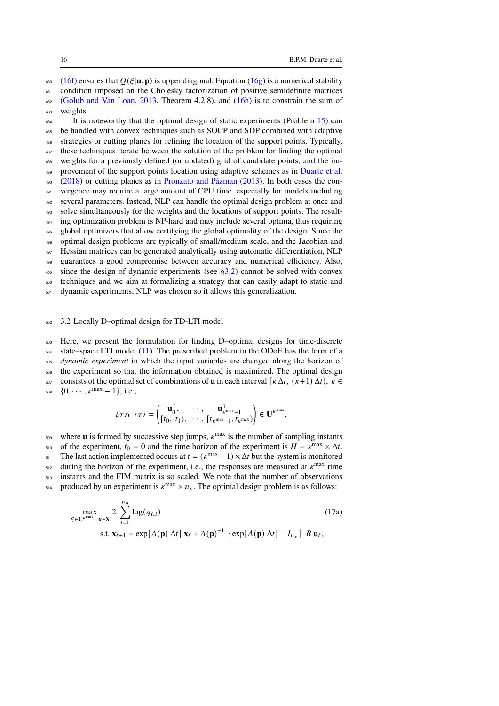480 [\(16f\)](#page-14-4) ensures that  $Q(\xi | \mathbf{u}, \mathbf{p})$  is upper diagonal. Equation [\(16g\)](#page-14-5) is a numerical stability

481 condition imposed on the Cholesky factorization of positive semidefinite matrices  $482$  [\(Golub and Van Loan,](#page-30-15) [2013,](#page-30-15) Theorem 4.2.8), and  $(16h)$  is to constrain the sum of

<sup>483</sup> weights.

It is noteworthy that the optimal design of static experiments (Problem  $15$ ) can be handled with convex techniques such as SOCP and SDP combined with adaptive strategies or cutting planes for refining the location of the support points. Typically, 487 these techniques iterate between the solution of the problem for finding the optimal weights for a previously defined (or updated) grid of candidate points, and the im- provement of the support points location using adaptive schemes as in [Duarte et al.](#page-29-16)  $490 \quad (2018)$  $490 \quad (2018)$  or cutting planes as in [Pronzato and Pázman](#page-31-16) [\(2013\)](#page-31-16). In both cases the con- vergence may require a large amount of CPU time, especially for models including several parameters. Instead, NLP can handle the optimal design problem at once and solve simultaneously for the weights and the locations of support points. The result-<sup>494</sup> ing optimization problem is NP-hard and may include several optima, thus requiring global optimizers that allow certifying the global optimality of the design. Since the optimal design problems are typically of small/medium scale, and the Jacobian and Hessian matrices can be generated analytically using automatic differentiation, NLP guarantees a good compromise between accuracy and numerical efficiency. Also,

 $499$  since the design of dynamic experiments (see [§3.2\)](#page-15-0) cannot be solved with convex

<sup>500</sup> techniques and we aim at formalizing a strategy that can easily adapt to static and <sup>501</sup> dynamic experiments, NLP was chosen so it allows this generalization.

# <span id="page-15-0"></span><sup>502</sup> 3.2 Locally D–optimal design for TD-LTI model

<sup>503</sup> Here, we present the formulation for finding D–optimal designs for time-discrete

<sup>504</sup> state–space LTI model [\(11\)](#page-11-1). The prescribed problem in the ODoE has the form of a

<sup>505</sup> *dynamic experiment* in which the input variables are changed along the horizon of <sup>506</sup> the experiment so that the information obtained is maximized. The optimal design

<sub>507</sub> consists of the optimal set of combinations of **u** in each interval  $\left[ \kappa \Delta t, \left( \kappa +1 \right) \Delta t \right)$ ,  $\kappa$  ∈

508  $\{0, \cdots, \kappa^{\max} - 1\}, \text{ i.e.,}$ 

<span id="page-15-1"></span>
$$
\xi_{TD-LTI} = \begin{pmatrix} \mathbf{u}_0^{\mathsf{T}}, & \cdots, & \mathbf{u}_{\kappa^{\max}-1}^{\mathsf{T}} \\ \left[t_0, t_1), & \cdots, & \left[t_{\kappa^{\max}-1}, t_{\kappa^{\max}}\right)\right] \in \mathbf{U}^{\kappa^{\max}}, \end{pmatrix}
$$

 $509$  where **u** is formed by successive step jumps,  $\kappa^{\text{max}}$  is the number of sampling instants <sup>510</sup> of the experiment,  $t_0 = 0$  and the time horizon of the experiment is  $H = \kappa^{\text{max}} \times \Delta t$ . <sup>511</sup> The last action implemented occurs at  $t = (k^{\text{max}} - 1) \times \Delta t$  but the system is monitored  $512$  during the horizon of the experiment, i.e., the responses are measured at  $\kappa^{\text{max}}$  time <sup>513</sup> instants and the FIM matrix is so scaled. We note that the number of observations  $_{514}$  produced by an experiment is  $\kappa^{\text{max}} \times n_{\text{y}}$ . The optimal design problem is as follows:

$$
\max_{\xi \in \mathbf{U}^k^{\max}, \mathbf{x} \in \mathbf{X}} 2 \sum_{i=1}^{n_{\theta}} \log(q_{i,i})
$$
\n
$$
\text{s.t. } \mathbf{x}_{\ell+1} = \exp[A(\mathbf{p}) \Delta t] \mathbf{x}_{\ell} + A(\mathbf{p})^{-1} \left\{ \exp[A(\mathbf{p}) \Delta t] - I_{n_x} \right\} B \mathbf{u}_{\ell},
$$
\n(17a)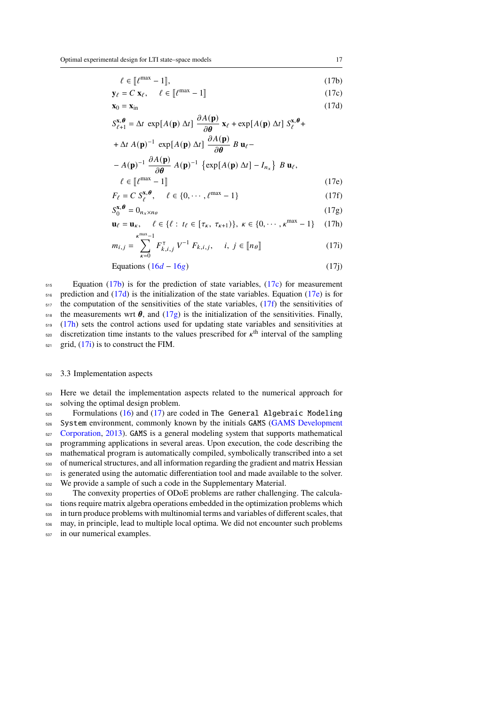<span id="page-16-3"></span><span id="page-16-2"></span><span id="page-16-1"></span>
$$
\mathbf{y}_{\ell} = C \mathbf{x}_{\ell}, \quad \ell \in [\![\ell^{\max} - 1]\!]
$$
 (17c)

$$
\mathbf{x}_0 = \mathbf{x}_{\text{in}} \tag{17d}
$$

$$
S_{\ell+1}^{\mathbf{x},\boldsymbol{\theta}} = \Delta t \, \exp[A(\mathbf{p}) \, \Delta t] \, \frac{\partial A(\mathbf{p})}{\partial \boldsymbol{\theta}} \, \mathbf{x}_{\ell} + \exp[A(\mathbf{p}) \, \Delta t] \, S_{\ell}^{\mathbf{x},\boldsymbol{\theta}} + \Delta t \, A(\mathbf{p})^{-1} \, \exp[A(\mathbf{p}) \, \Delta t] \, \frac{\partial A(\mathbf{p})}{\partial \boldsymbol{\theta}} \, B \, \mathbf{u}_{\ell} - \frac{2A(\mathbf{x})}{\Delta t} \, \mathbf{x}_{\ell} \, \mathbf{x}_{\ell} \, \mathbf{x}_{\ell} \, \mathbf{x}_{\ell} \, \mathbf{x}_{\ell} \, \mathbf{x}_{\ell} \, \mathbf{x}_{\ell} \, \mathbf{x}_{\ell} \, \mathbf{x}_{\ell} \, \mathbf{x}_{\ell} \, \mathbf{x}_{\ell} \, \mathbf{x}_{\ell} \, \mathbf{x}_{\ell} \, \mathbf{x}_{\ell} \, \mathbf{x}_{\ell} \, \mathbf{x}_{\ell} \, \mathbf{x}_{\ell} \, \mathbf{x}_{\ell} \, \mathbf{x}_{\ell} \, \mathbf{x}_{\ell} \, \mathbf{x}_{\ell} \, \mathbf{x}_{\ell} \, \mathbf{x}_{\ell} \, \mathbf{x}_{\ell} \, \mathbf{x}_{\ell} \, \mathbf{x}_{\ell} \, \mathbf{x}_{\ell} \, \mathbf{x}_{\ell} \, \mathbf{x}_{\ell} \, \mathbf{x}_{\ell} \, \mathbf{x}_{\ell} \, \mathbf{x}_{\ell} \, \mathbf{x}_{\ell} \, \mathbf{x}_{\ell} \, \mathbf{x}_{\ell} \, \mathbf{x}_{\ell} \, \mathbf{x}_{\ell} \, \mathbf{x}_{\ell} \, \mathbf{x}_{\ell} \, \mathbf{x}_{\ell} \, \mathbf{x}_{\ell} \, \mathbf{x}_{\ell} \, \mathbf{x}_{\ell} \, \mathbf{x}_{\ell} \, \mathbf{x}_{\ell} \, \mathbf{x}_{\ell} \, \mathbf{x}_{\ell} \, \mathbf{x}_{\ell} \, \mathbf{x}_{\ell} \, \mathbf{x}_{\ell} \, \mathbf{x}_{\ell} \, \mathbf{x}_{\ell} \, \mathbf{x}_{\ell} \, \mathbf{x}_{\ell} \, \mathbf{x}_{\ell} \, \mathbf{x}_{\ell} \, \mathbf{x}_{
$$

<span id="page-16-4"></span>
$$
-A(\mathbf{p})^{-1} \frac{\partial A(\mathbf{p})}{\partial \theta} A(\mathbf{p})^{-1} \{\exp[A(\mathbf{p}) \Delta t] - I_{n_x}\} B \mathbf{u}_{\ell},
$$
  

$$
\ell \in [\![\ell^{\max} - 1]\!]
$$
 (17e)

<span id="page-16-5"></span>
$$
F_{\ell} = C S_{\ell}^{\mathbf{x}, \boldsymbol{\theta}}, \quad \ell \in \{0, \cdots, \ell^{\max} - 1\}
$$
 (17f)

<span id="page-16-7"></span><span id="page-16-6"></span>
$$
S_0^{\mathbf{x},\boldsymbol{\theta}} = 0_{n_x \times n_\theta} \tag{17g}
$$

$$
\mathbf{u}_{\ell} = \mathbf{u}_{\kappa}, \quad \ell \in \{\ell : t_{\ell} \in [\tau_{\kappa}, \ \tau_{\kappa+1})\}, \ \kappa \in \{0, \cdots, \kappa^{\max} - 1\} \tag{17h}
$$

<span id="page-16-8"></span>
$$
m_{i,j} = \sum_{k=0}^{\kappa^{max}-1} F_{k,i,j}^{\mathsf{T}} V^{-1} F_{k,i,j}, \quad i, j \in [\![ n_\theta ]\!]
$$
 (17i)

Equations 
$$
(16d - 16g)
$$
 (17j)

 Equation [\(17b\)](#page-16-1) is for the prediction of state variables, [\(17c\)](#page-16-2) for measurement prediction and  $(17d)$  is the initialization of the state variables. Equation  $(17e)$  is for the computation of the sensitivities of the state variables,  $(17f)$  the sensitivities of <sup>518</sup> the measurements wrt  $\theta$ , and  $(17g)$  is the initialization of the sensitivities. Finally, [\(17h\)](#page-16-7) sets the control actions used for updating state variables and sensitivities at  $\epsilon$ <sub>520</sub> discretization time instants to the values prescribed for  $\kappa$ <sup>th</sup> interval of the sampling grid,  $(17i)$  is to construct the FIM.

#### <span id="page-16-0"></span><sup>522</sup> 3.3 Implementation aspects

<sup>523</sup> Here we detail the implementation aspects related to the numerical approach for <sup>524</sup> solving the optimal design problem.

 Formulations [\(16\)](#page-14-8) and [\(17\)](#page-15-1) are coded in The General Algebraic Modeling [S](#page-30-16)ystem environment, commonly known by the initials GAMS [\(GAMS Development](#page-30-16) [Corporation,](#page-30-16) [2013\)](#page-30-16). GAMS is a general modeling system that supports mathematical programming applications in several areas. Upon execution, the code describing the mathematical program is automatically compiled, symbolically transcribed into a set of numerical structures, and all information regarding the gradient and matrix Hessian is generated using the automatic differentiation tool and made available to the solver. We provide a sample of such a code in the Supplementary Material.

 The convexity properties of ODoE problems are rather challenging. The calcula- tions require matrix algebra operations embedded in the optimization problems which in turn produce problems with multinomial terms and variables of different scales, that may, in principle, lead to multiple local optima. We did not encounter such problems in our numerical examples.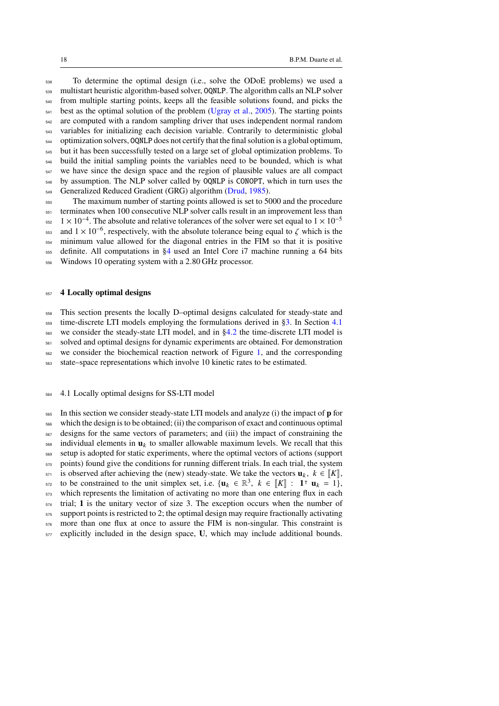To determine the optimal design (i.e., solve the ODoE problems) we used a multistart heuristic algorithm-based solver, OQNLP. The algorithm calls an NLP solver <sub>540</sub> from multiple starting points, keeps all the feasible solutions found, and picks the best as the optimal solution of the problem [\(Ugray et al.,](#page-32-17) [2005\)](#page-32-17). The starting points are computed with a random sampling driver that uses independent normal random variables for initializing each decision variable. Contrarily to deterministic global <sub>544</sub> optimization solvers, OQNLP does not certify that the final solution is a global optimum, but it has been successfully tested on a large set of global optimization problems. To build the initial sampling points the variables need to be bounded, which is what we have since the design space and the region of plausible values are all compact by assumption. The NLP solver called by OQNLP is CONOPT, which in turn uses the 549 Generalized Reduced Gradient (GRG) algorithm [\(Drud,](#page-29-13) [1985\)](#page-29-13).

The maximum number of starting points allowed is set to 5000 and the procedure 551 terminates when 100 consecutive NLP solver calls result in an improvement less than  $1 \times 10^{-4}$ . The absolute and relative tolerances of the solver were set equal to  $1 \times 10^{-5}$  <sup>553</sup> and  $1 \times 10^{-6}$ , respectively, with the absolute tolerance being equal to  $\zeta$  which is the minimum value allowed for the diagonal entries in the FIM so that it is positive definite. All computations in [§4](#page-17-0) used an Intel Core i7 machine running a 64 bits

Windows 10 operating system with a 2.80 GHz processor.

### <span id="page-17-0"></span>**4 Locally optimal designs**

This section presents the locally D–optimal designs calculated for steady-state and

 $\frac{1}{559}$  time-discrete LTI models employing the formulations derived in [§3.](#page-13-0) In Section [4.1](#page-17-1)

we consider the steady-state LTI model, and in  $§4.2$  the time-discrete LTI model is

solved and optimal designs for dynamic experiments are obtained. For demonstration

we consider the biochemical reaction network of Figure [1,](#page-6-0) and the corresponding

state–space representations which involve 10 kinetic rates to be estimated.

### <span id="page-17-1"></span>4.1 Locally optimal designs for SS-LTI model

 In this section we consider steady-state LTI models and analyze (i) the impact of **p** for which the design is to be obtained; (ii) the comparison of exact and continuous optimal designs for the same vectors of parameters; and (iii) the impact of constraining the individual elements in  $\mathbf{u}_k$  to smaller allowable maximum levels. We recall that this setup is adopted for static experiments, where the optimal vectors of actions (support <sub>570</sub> points) found give the conditions for running different trials. In each trial, the system 571 is observed after achieving the (new) steady-state. We take the vectors  $\mathbf{u}_k$ ,  $k \in [\![K]\!]$ , to be constrained to the unit simplex set, i.e.  $\{\mathbf{u}_k \in \mathbb{R}^3, k \in [\![K]\!] : \mathbf{1}^\top \mathbf{u}_k = 1\}$ . to be constrained to the unit simplex set, i.e.  $\{u_k \in \mathbb{R}^3, k \in [\![K]\!] : \mathbf{1}^\top u_k = 1\}$ , which represents the limitation of estivating no more than one entering flux in each which represents the limitation of activating no more than one entering flux in each trial; **1** is the unitary vector of size 3. The exception occurs when the number of support points is restricted to 2; the optimal design may require fractionally activating more than one flux at once to assure the FIM is non-singular. This constraint is

explicitly included in the design space, **U**, which may include additional bounds.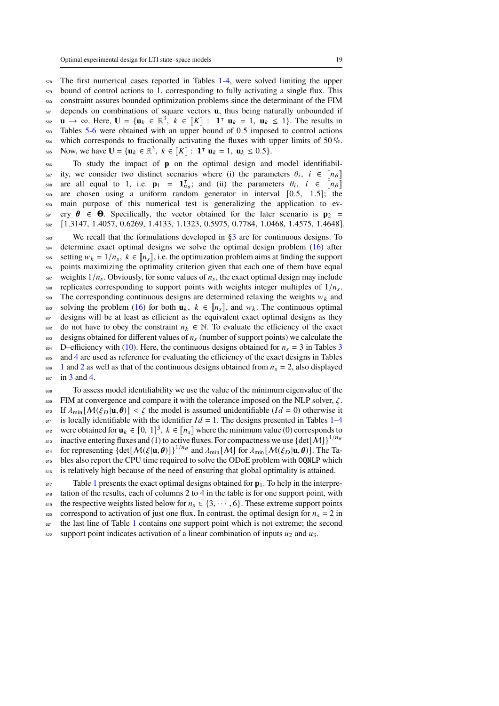<sup>578</sup> The first numerical cases reported in Tables [1-](#page-20-0)[4,](#page-21-0) were solved limiting the upper <sub>579</sub> bound of control actions to 1, corresponding to fully activating a single flux. This <sup>580</sup> constraint assures bounded optimization problems since the determinant of the FIM <sup>581</sup> depends on combinations of square vectors **u**, thus being naturally unbounded if  $\mathbf{u}$  → ∞. Here,  $\mathbf{U} = {\mathbf{u}_k \in \mathbb{R}^3}$ ,  $k \in [K] : \mathbf{1}^\top \mathbf{u}_k = 1, \mathbf{u}_k \le 1$ . The results in Tables 5.6 were obtained with an upper bound of 0.5 imposed to control estimate <sub>583</sub> Tables [5-](#page-21-1)[6](#page-22-1) were obtained with an upper bound of 0.5 imposed to control actions  $584$  which corresponds to fractionally activating the fluxes with upper limits of 50 %. Now, we have  $U = \{u_k \in \mathbb{R}^3, k \in [[K]] : 1^\top u_k = 1, u_k \le 0.5\}.$ 

<sup>586</sup> To study the impact of **p** on the optimal design and model identifiabilss<sub>p</sub> ity, we consider two distinct scenarios where (i) the parameters  $\theta_i$ ,  $i \in [\![n_\theta]\!]$ are all equal to 1, i.e.  $\mathbf{p}_1 = \mathbf{1}_{n_\theta}^T$ ; and (ii) the parameters  $\theta_i$ ,  $i \in [n_\theta]$ <br>see are chosen using a uniform random generator in interval [0.5, 1.5]; the <sup>589</sup> are chosen using a uniform random generator in interval [0.5, 1.5]; the <sup>590</sup> main purpose of this numerical test is generalizing the application to ev- $_{591}$  ery  $\theta \in \Theta$ . Specifically, the vector obtained for the later scenario is  $\mathbf{p}_2 =$ <sup>592</sup> [1.3147, 1.4057, 0.6269, 1.4133, 1.1323, 0.5975, 0.7784, 1.0468, 1.4575, 1.4648].

 $593$  We recall that the formulations developed in  $\S$ 3 are for continuous designs. To  $_{594}$  determine exact optimal designs we solve the optimal design problem [\(16\)](#page-14-8) after 595 setting  $w_k = 1/n_s$ ,  $k \in [n_s]$ , i.e. the optimization problem aims at finding the support points maximizing the optimality criterion given that each one of them have equal  $\frac{1}{597}$  weights  $1/n_s$ . Obviously, for some values of  $n_s$ , the exact optimal design may include  $\frac{1}{598}$  replicates corresponding to support points with weights integer multiples of  $1/n_s$ .  $599$  The corresponding continuous designs are determined relaxing the weights  $w_k$  and 600 solving the problem [\(16\)](#page-14-8) for both  $\mathbf{u}_k$ ,  $k \in [n_s]$ , and  $w_k$ . The continuous optimal designs will be at least as efficient as the equivalent exact optimal designs as they designs will be at least as efficient as the equivalent exact optimal designs as they 602 do not have to obey the constraint  $n_k \in \mathbb{N}$ . To evaluate the efficiency of the exact  $\frac{603}{100}$  designs obtained for different values of  $n_s$  (number of support points) we calculate the  $_{604}$  D–efficiency with [\(10\)](#page-9-1). Here, the continuous designs obtained for  $n_s = 3$  $n_s = 3$  in Tables 3 <sub>605</sub> and [4](#page-21-0) are used as reference for evaluating the efficiency of the exact designs in Tables <sup>606</sup> [1](#page-20-0) and [2](#page-20-1) as well as that of the continuous designs obtained from  $n_s = 2$ , also displayed <sup>607</sup> in [3](#page-21-2) and [4.](#page-21-0)

<sup>608</sup> To assess model identifiability we use the value of the minimum eigenvalue of the  $609$  FIM at convergence and compare it with the tolerance imposed on the NLP solver,  $\zeta$ . 610 If  $\lambda_{\min} [\mathcal{M}(\xi_D | \mathbf{u}, \boldsymbol{\theta})] < \zeta$  the model is assumed unidentifiable  $(Id = 0)$  otherwise it  $611$  is locally identifiable with the identifier  $Id = 1$ . The designs presented in Tables [1–](#page-20-0)[4](#page-21-0) were obtained for  $\mathbf{u}_k \in [0, 1]^3$ ,  $k \in [\![n_s]\!]$  where the minimum value (0) corresponds to inactive entering fluxes and (1) to active fluxes. For compactness we use  $\det[\![M]\!]_1^{1/n_\theta}$ inactive entering fluxes and (1) to active fluxes. For compactness we use  $\{\text{det}[\mathcal{M}]\}^{1/n_6}$ 613 <sup>614</sup> for representing  $\{\text{det}[\mathcal{M}(\xi | \mathbf{u}, \theta)]\}^{1/n_{\theta}}$  and  $\lambda_{\min}[\mathcal{M}]$  for  $\lambda_{\min}[\mathcal{M}(\xi_D | \mathbf{u}, \theta)]$ . The Ta-615 bles also report the CPU time required to solve the ODoE problem with OQNLP which <sup>616</sup> is relatively high because of the need of ensuring that global optimality is attained.  $F_{617}$  $F_{617}$  $F_{617}$  Table 1 presents the exact optimal designs obtained for  $\mathbf{p}_1$ . To help in the interpre-

618 tation of the results, each of columns 2 to 4 in the table is for one support point, with 619 the respective weights listed below for  $n_s \in \{3, \dots, 6\}$ . These extreme support points 620 correspond to activation of just one flux. In contrast, the optimal design for  $n_s = 2$  in  $621$  $621$  the last line of Table 1 contains one support point which is not extreme; the second  $\epsilon_{0.22}$  support point indicates activation of a linear combination of inputs  $u_2$  and  $u_3$ .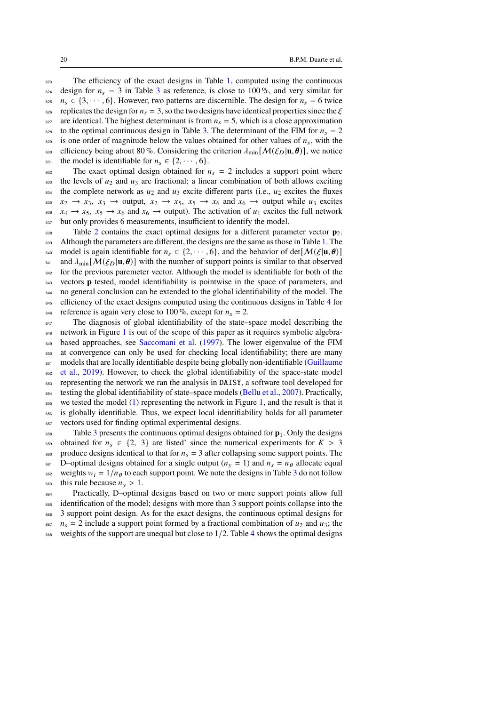<sup>623</sup> The efficiency of the exact designs in Table [1,](#page-20-0) computed using the continuous  $624$  design for  $n_s = 3$  $n_s = 3$  in Table 3 as reference, is close to 100%, and very similar for <sup>625</sup>  $n_s \in \{3, \dots, 6\}$ . However, two patterns are discernible. The design for  $n_s = 6$  twice ess replicates the design for  $n_s = 3$ , so the two designs have identical properties since the  $\zeta$ <sup>627</sup> are identical. The highest determinant is from  $n_s = 5$ , which is a close approximation <sup>628</sup> to the optimal continuous design in Table [3.](#page-21-2) The determinant of the FIM for  $n_s = 2$ 629 is one order of magnitude below the values obtained for other values of  $n_s$ , with the 630 efficiency being about 80 %. Considering the criterion  $\lambda_{\min} [\mathcal{M}(\xi_D | \mathbf{u}, \boldsymbol{\theta})]$ , we notice 631 the model is identifiable for  $n_s \in \{2, \dots, 6\}.$ 

 $\frac{632}{100}$  The exact optimal design obtained for  $n_s = 2$  includes a support point where 633 the levels of  $u_2$  and  $u_3$  are fractional; a linear combination of both allows exciting  $634$  the complete network as  $u_2$  and  $u_3$  excite different parts (i.e.,  $u_2$  excites the fluxes 635  $x_2 \rightarrow x_3$ ,  $x_3 \rightarrow$  output,  $x_2 \rightarrow x_5$ ,  $x_5 \rightarrow x_6$  and  $x_6 \rightarrow$  output while  $u_3$  excites 636  $x_4 \rightarrow x_5$ ,  $x_5 \rightarrow x_6$  and  $x_6 \rightarrow$  output). The activation of  $u_1$  excites the full network <sup>637</sup> but only provides 6 measurements, insufficient to identify the model.

 $\epsilon_{\text{ss}}$  Table [2](#page-20-1) contains the exact optimal designs for a different parameter vector  $\mathbf{p}_2$ . 639 Although the parameters are different, the designs are the same as those in Table [1.](#page-20-0) The 640 model is again identifiable for  $n_s \in \{2, \dots, 6\}$ , and the behavior of det $[\mathcal{M}(\xi | \mathbf{u}, \boldsymbol{\theta})]$ <sup>641</sup> and  $\lambda_{\min} [\mathcal{M}(\xi_D | \mathbf{u}, \theta)]$  with the number of support points is similar to that observed <sub>642</sub> for the previous paremeter vector. Although the model is identifiable for both of the <sup>643</sup> vectors **p** tested, model identifiability is pointwise in the space of parameters, and <sup>644</sup> no general conclusion can be extended to the global identifiability of the model. The <sup>6[4](#page-21-0)5</sup> efficiency of the exact designs computed using the continuous designs in Table 4 for <sup>646</sup> reference is again very close to 100 %, except for  $n_s = 2$ .

<sup>647</sup> The diagnosis of global identifiability of the state–space model describing the network in Figure [1](#page-6-0) is out of the scope of this paper as it requires symbolic algebra-649 based approaches, see [Saccomani et al.](#page-31-17) [\(1997\)](#page-31-17). The lower eigenvalue of the FIM <sup>650</sup> at convergence can only be used for checking local identifiability; there are many 651 [m](#page-30-17)odels that are locally identifiable despite being globally non-identifiable [\(Guillaume](#page-30-17) <sup>652</sup> [et al.,](#page-30-17) [2019\)](#page-30-17). However, to check the global identifiability of the space-state model <sup>653</sup> representing the network we ran the analysis in DAISY, a software tool developed for testing the global identifiability of state–space models [\(Bellu et al.,](#page-28-17) [2007\)](#page-28-17). Practically,  $655$  we tested the model [\(1\)](#page-2-2) representing the network in Figure [1,](#page-6-0) and the result is that it <sup>656</sup> is globally identifiable. Thus, we expect local identifiability holds for all parameter <sup>657</sup> vectors used for finding optimal experimental designs.

<sup>658</sup> Table [3](#page-21-2) presents the continuous optimal designs obtained for **p**1. Only the designs 659 obtained for  $n_s \in \{2, 3\}$  are listed' since the numerical experiments for  $K > 3$  $\epsilon_{660}$  produce designs identical to that for  $n_s = 3$  after collapsing some support points. The <sup>661</sup> D–optimal designs obtained for a single output ( $n<sub>y</sub> = 1$ ) and  $n<sub>s</sub> = n<sub>\theta</sub>$  allocate equal <sup>662</sup> weights  $w_i = 1/n_\theta$  to each support point. We note the designs in Table [3](#page-21-2) do not follow

this rule because  $n_v > 1$ .

<sup>664</sup> Practically, D–optimal designs based on two or more support points allow full <sub>665</sub> identification of the model; designs with more than 3 support points collapse into the <sup>666</sup> 3 support point design. As for the exact designs, the continuous optimal designs for  $\epsilon_{667}$   $n_s = 2$  include a support point formed by a fractional combination of  $u_2$  and  $u_3$ ; the 668 weights of the support are unequal but close to  $1/2$ . Table [4](#page-21-0) shows the optimal designs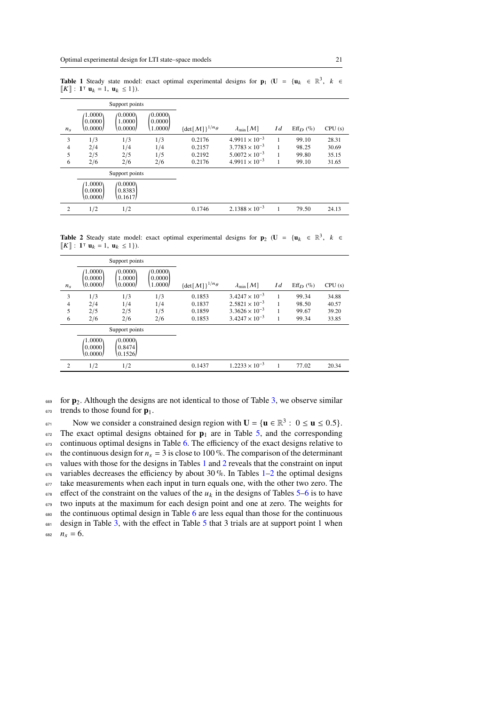<span id="page-20-0"></span>**Table 1** Steady state model: exact optimal experimental designs for  $\mathbf{p}_1$  ( $\mathbf{U} = {\mathbf{u}_k \in \mathbb{R}^3, k \in \mathbb{R}^3}$  $[K]$  : **1**<sup> $\tau$ </sup> **u**<sub>k</sub> = **1**, **u**<sub>k</sub> ≤ 1}).

|                | Support points                 |                                |                               |                                        |                               |     |               |        |
|----------------|--------------------------------|--------------------------------|-------------------------------|----------------------------------------|-------------------------------|-----|---------------|--------|
| $n_{s}$        | (1.0000)<br>0.0000<br>(0.0000) | (0.0000)<br>1.0000<br>(0.0000) | (0.0000)<br>0.0000<br>1.0000/ | $\{\det[\mathcal{M}]\}^{1/n_{\theta}}$ | $\lambda_{\min}[\mathcal{M}]$ | I d | $Eff_{D}$ (%) | CPU(s) |
| 3              | 1/3                            | 1/3                            | 1/3                           | 0.2176                                 | $4.9911 \times 10^{-3}$       |     | 99.10         | 28.31  |
| 4              | 2/4                            | 1/4                            | 1/4                           | 0.2157                                 | $3.7783 \times 10^{-3}$       |     | 98.25         | 30.69  |
| 5              | 2/5                            | 2/5                            | 1/5                           | 0.2192                                 | $5.0072 \times 10^{-3}$       |     | 99.80         | 35.15  |
| 6              | 2/6                            | 2/6                            | 2/6                           | 0.2176                                 | $4.9911 \times 10^{-3}$       |     | 99.10         | 31.65  |
|                | Support points                 |                                |                               |                                        |                               |     |               |        |
|                | (1.0000)<br>0.0000<br>(0.0000) | (0.0000)<br>0.8383<br>(0.1617) |                               |                                        |                               |     |               |        |
| $\overline{2}$ | 1/2                            | 1/2                            |                               | 0.1746                                 | $2.1388 \times 10^{-3}$       |     | 79.50         | 24.13  |

<span id="page-20-1"></span>**Table 2** Steady state model: exact optimal experimental designs for  $\mathbf{p}_2$  ( $\mathbf{U} = {\mathbf{u}_k \in \mathbb{R}^3, k \in \mathbb{R}^3}$  $[K]$  : **1**<sup> $\tau$ </sup> **u**<sub>k</sub> = **1**, **u**<sub>k</sub> ≤ 1}).

|             | Support points                 |                                |                                |                                        |                               |     |             |        |
|-------------|--------------------------------|--------------------------------|--------------------------------|----------------------------------------|-------------------------------|-----|-------------|--------|
| $n_{\rm s}$ | (1.0000)<br>0.0000<br>(0.0000) | (0.0000)<br>1.0000<br>(0.0000) | (0.0000)<br>0.0000<br>(1.0000) | $\{\det[\mathcal{M}]\}^{1/n_{\theta}}$ | $\lambda_{\min}[\mathcal{M}]$ | I d | $Eff_D (%)$ | CPU(s) |
| 3           | 1/3                            | 1/3                            | 1/3                            | 0.1853                                 | $3.4247 \times 10^{-3}$       |     | 99.34       | 34.88  |
| 4           | 2/4                            | 1/4                            | 1/4                            | 0.1837                                 | $2.5821 \times 10^{-3}$       |     | 98.50       | 40.57  |
| 5           | 2/5                            | 2/5                            | 1/5                            | 0.1859                                 | $3.3626 \times 10^{-3}$       |     | 99.67       | 39.20  |
| 6           | 2/6                            | 2/6                            | 2/6                            | 0.1853                                 | $3.4247 \times 10^{-3}$       | 1   | 99.34       | 33.85  |
|             | Support points                 |                                |                                |                                        |                               |     |             |        |
|             | (1.0000)<br>0.0000<br>0.0000/  | (0.0000)<br>0.8474<br>(0.1526) |                                |                                        |                               |     |             |        |
| 2           | 1/2                            | 1/2                            |                                | 0.1437                                 | $1.2233 \times 10^{-3}$       |     | 77.02       | 20.34  |

 for **p**2. Although the designs are not identical to those of Table [3,](#page-21-2) we observe similar trends to those found for  $p_1$ .

Now we consider a constrained design region with  $U = \{u \in \mathbb{R}^3 : 0 \le u \le 0.5\}$ . The exact optimal designs obtained for  $\mathbf{p}_1$  are in Table [5,](#page-21-1) and the corresponding 673 continuous optimal designs in Table [6.](#page-22-1) The efficiency of the exact designs relative to <sup>674</sup> the continuous design for  $n_s = 3$  is close to 100 %. The comparison of the determinant values with those for the designs in Tables [1](#page-20-0) and [2](#page-20-1) reveals that the constraint on input variables decreases the efficiency by about 30%. In Tables  $1-2$  $1-2$  the optimal designs take measurements when each input in turn equals one, with the other two zero. The  $678$  effect of the constraint on the values of the  $u_k$  in the designs of Tables [5–](#page-21-1)6 is to have two inputs at the maximum for each design point and one at zero. The weights for 80 the continuous optimal design in Table 6 are less equal than those for the continuous design in Table [3,](#page-21-2) with the effect in Table [5](#page-21-1) that 3 trials are at support point 1 when  $n_s = 6$ .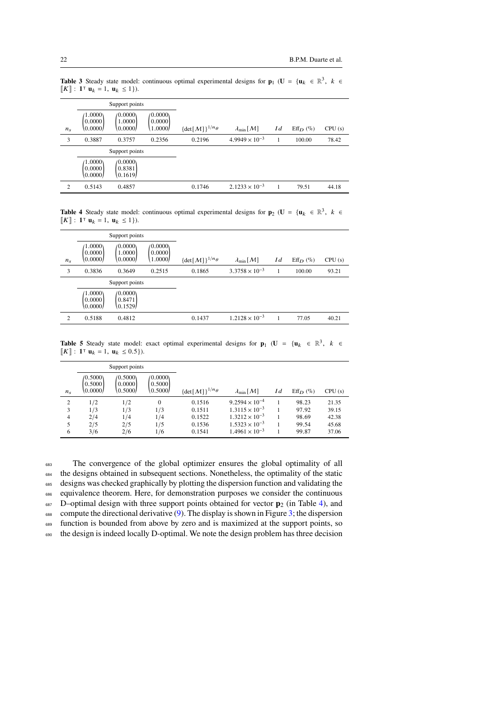<span id="page-21-2"></span>**Table 3** Steady state model: continuous optimal experimental designs for  $\mathbf{p}_1$  ( $\mathbf{U} = {\mathbf{u}_k \in \mathbb{R}^3, k \in \mathbb{R}^3}$  $[K]$  : **1**<sup> $\tau$ </sup> **u**<sub>k</sub> = **1**, **u**<sub>k</sub> ≤ 1}).

|             | Support points                 |                                |                               |                                        |                               |     |             |        |
|-------------|--------------------------------|--------------------------------|-------------------------------|----------------------------------------|-------------------------------|-----|-------------|--------|
| $n_{\rm s}$ | (1.0000)<br>0.0000<br>(0.0000) | (0.0000)<br>1.0000<br>(0.0000) | (0.0000)<br>0.0000<br>1.0000/ | $\{\det[\mathcal{M}]\}^{1/n_{\theta}}$ | $\lambda_{\min}[\mathcal{M}]$ | I d | $Eff_D (%)$ | CPU(s) |
| 3           | 0.3887                         | 0.3757                         | 0.2356                        | 0.2196                                 | $4.9949 \times 10^{-3}$       |     | 100.00      | 78.42  |
|             |                                | Support points                 |                               |                                        |                               |     |             |        |
|             | (1.0000)<br>0.0000<br>(0.0000) | /0.0000\<br>0.8381<br>(0.1619) |                               |                                        |                               |     |             |        |
| 2           | 0.5143                         | 0.4857                         |                               | 0.1746                                 | $2.1233 \times 10^{-3}$       |     | 79.51       | 44.18  |

<span id="page-21-0"></span>**Table 4** Steady state model: continuous optimal experimental designs for  $\mathbf{p}_2$  (**U** = { $\mathbf{u}_k \in \mathbb{R}^3$ ,  $k \in \mathbb{R}^3$  $[K]$  : **1**<sup>T</sup> **u**<sub>k</sub> = 1, **u**<sub>k</sub> ≤ 1}).

|             | Support points                   |                                |                               |                                 |                               |     |             |        |
|-------------|----------------------------------|--------------------------------|-------------------------------|---------------------------------|-------------------------------|-----|-------------|--------|
| $n_{\rm s}$ | (1.0000)<br>0.0000<br>(0.0000)   | (0.0000)<br>1.0000<br>(0.0000) | (0.0000)<br>0.0000<br>1.0000/ | $\{\det[\mathcal{M}]\}^{1/n}$ θ | $\lambda_{\min}[\mathcal{M}]$ | I d | $Eff_D (%)$ | CPU(s) |
| 3           | 0.3836                           | 0.3649                         | 0.2515                        | 0.1865                          | $3.3758 \times 10^{-3}$       |     | 100.00      | 93.21  |
|             |                                  | Support points                 |                               |                                 |                               |     |             |        |
|             | (1.0000)<br> 0.0000 <br>(0.0000) | (0.0000)<br>0.8471<br>(0.1529) |                               |                                 |                               |     |             |        |
| 2           | 0.5188                           | 0.4812                         |                               | 0.1437                          | $1.2128 \times 10^{-3}$       |     | 77.05       | 40.21  |

<span id="page-21-1"></span>**Table 5** Steady state model: exact optimal experimental designs for  $\mathbf{p}_1$  ( $\mathbf{U} = {\mathbf{u}_k \in \mathbb{R}^3, k \in \mathbb{R}^3}$  $[K]$  : **1**<sup>T</sup> **u**<sub>k</sub> = 1, **u**<sub>k</sub> ≤ 0.5}).

|             |                                | Support points                   |                                |                                        |                               |     |             |        |
|-------------|--------------------------------|----------------------------------|--------------------------------|----------------------------------------|-------------------------------|-----|-------------|--------|
| $n_{\rm s}$ | (0.5000)<br>0.5000<br>(0.0000) | /0.5000\<br> 0.0000 <br>(0.5000) | (0.0000)<br>0.5000<br>\0.5000/ | $\{\det[\mathcal{M}]\}^{1/n_{\theta}}$ | $\lambda_{\min}[\mathcal{M}]$ | I d | $Eff_D (%)$ | CPU(s) |
| 2           | 1/2                            | 1/2                              | $\Omega$                       | 0.1516                                 | $9.2594 \times 10^{-4}$       |     | 98.23       | 21.35  |
| 3           | 1/3                            | 1/3                              | 1/3                            | 0.1511                                 | $1.3115 \times 10^{-3}$       |     | 97.92       | 39.15  |
| 4           | 2/4                            | 1/4                              | 1/4                            | 0.1522                                 | $1.3212 \times 10^{-3}$       |     | 98.69       | 42.38  |
| 5           | 2/5                            | 2/5                              | 1/5                            | 0.1536                                 | $1.5323 \times 10^{-3}$       |     | 99.54       | 45.68  |
| 6           | 3/6                            | 2/6                              | 1/6                            | 0.1541                                 | $1.4961 \times 10^{-3}$       |     | 99.87       | 37.06  |

 The convergence of the global optimizer ensures the global optimality of all the designs obtained in subsequent sections. Nonetheless, the optimality of the static designs was checked graphically by plotting the dispersion function and validating the equivalence theorem. Here, for demonstration purposes we consider the continuous D–optimal design with three support points obtained for vector  $\mathbf{p}_2$  (in Table [4\)](#page-21-0), and 688 compute the directional derivative  $(9)$ . The display is shown in Figure [3;](#page-22-2) the dispersion function is bounded from above by zero and is maximized at the support points, so

690 the design is indeed locally D-optimal. We note the design problem has three decision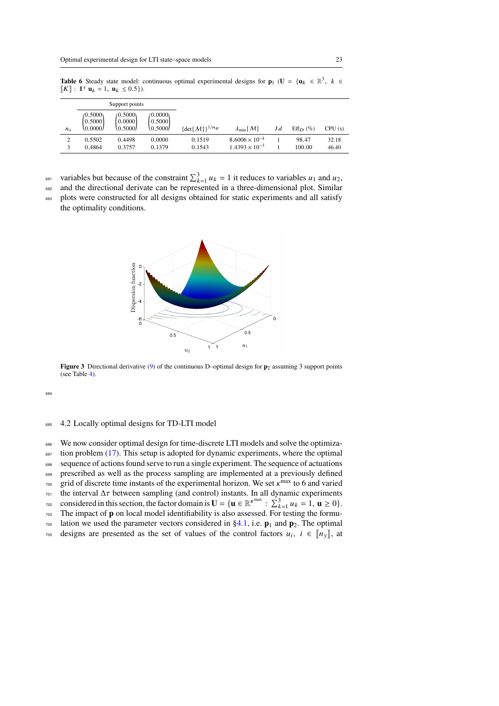<span id="page-22-1"></span>**Table 6** Steady state model: continuous optimal experimental designs for  $\mathbf{p}_1$  ( $\mathbf{U} = {\mathbf{u}_k \in \mathbb{R}^3, k \in \mathbb{R}^3}$  $[K]$  : **1**<sup>T</sup> **u**<sub>k</sub> = 1, **u**<sub>k</sub> ≤ 0.5}).

|             |                      | Support points      |                      |                             |                               |     |               |        |
|-------------|----------------------|---------------------|----------------------|-----------------------------|-------------------------------|-----|---------------|--------|
|             | (0.5000)<br>[0.5000] | (0.5000)<br> 0.0000 | (0.0000)<br>10.50001 |                             |                               |     |               |        |
| $n_{\rm s}$ | 0.0000/              | 10.5000/            | (0.5000)             | $\{det[M]\}^{1/n_{\theta}}$ | $\lambda_{\min}[\mathcal{M}]$ | I d | $Eff_{D}$ (%) | CPU(s) |
|             | 0.5502               | 0.4498              | 0.0000               | 0.1519                      | $8.6006 \times 10^{-4}$       |     | 98.47         | 32.18  |
|             | 0.4864               | 0.3757              | 0.1379               | 0.1543                      | $1.4393 \times 10^{-3}$       |     | 100.00        | 46.40  |

<sup>691</sup> variables but because of the constraint  $\sum_{k=1}^{3} u_k = 1$  it reduces to variables  $u_1$  and  $u_2$ ,

<sup>692</sup> and the directional derivate can be represented in a three-dimensional plot. Similar <sup>693</sup> plots were constructed for all designs obtained for static experiments and all satisfy the optimality conditions.



<span id="page-22-2"></span>**Figure 3** Directional derivative [\(9\)](#page-9-2) of the continuous D–optimal design for **p**<sub>2</sub> assuming 3 support points (see Table [4\)](#page-21-0).

694

# <span id="page-22-0"></span><sup>695</sup> 4.2 Locally optimal designs for TD-LTI model

696 We now consider optimal design for time-discrete LTI models and solve the optimiza-

 $697$  tion problem [\(17\)](#page-15-1). This setup is adopted for dynamic experiments, where the optimal <sup>698</sup> sequence of actions found serve to run a single experiment. The sequence of actuations

<sup>699</sup> prescribed as well as the process sampling are implemented at a previously defined

 $_{700}$  grid of discrete time instants of the experimental horizon. We set  $\kappa^{\text{max}}$  to 6 and varied

 $701$  the interval  $\Delta \tau$  between sampling (and control) instants. In all dynamic experiments

- considered in this section, the factor domain is  $\mathbf{U} = {\mathbf{u} \in \mathbb{R}^{\kappa^{max}} : \sum_{k=1}^{3} u_k = 1, \mathbf{u} \ge 0}.$
- <sup>703</sup> The impact of **p** on local model identifiability is also assessed. For testing the formu-
- $704$  lation we used the parameter vectors considered in [§4.1,](#page-17-1) i.e.  $\mathbf{p}_1$  and  $\mathbf{p}_2$ . The optimal
- $\tau$ <sub>705</sub> designs are presented as the set of values of the control factors  $u_i$ ,  $i \in [\![ n_y ]\!]$ , at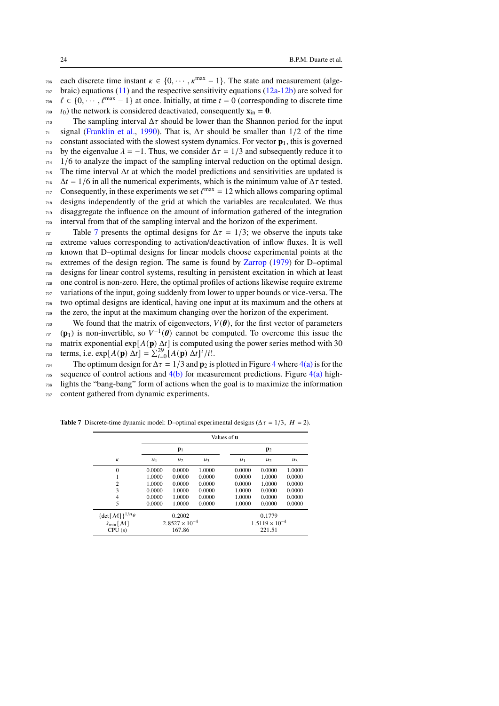$\tau$ <sub>06</sub> each discrete time instant  $\kappa \in \{0, \cdots, \kappa^{\max} - 1\}$ . The state and measurement (alge- $707$  braic) equations [\(11\)](#page-11-1) and the respective sensitivity equations [\(12a-](#page-12-1)[12b\)](#page-12-2) are solved for  $\ell \in \{0, \dots, \ell^{\max} - 1\}$  at once. Initially, at time  $t = 0$  (corresponding to discrete time  $\tau_{09}$  t<sub>0</sub>) the network is considered deactivated, consequently  $\mathbf{x}_{in} = \mathbf{0}$ .

 The sampling interval  $\Delta \tau$  should be lower than the Shannon period for the input signal [\(Franklin et al.,](#page-29-17) [1990\)](#page-29-17). That is,  $\Delta \tau$  should be smaller than  $1/2$  of the time constant associated with the slowest system dynamics. For vector **p**1, this is governed <sup>713</sup> by the eigenvalue  $\lambda = -1$ . Thus, we consider  $\Delta \tau = 1/3$  and subsequently reduce it to  $714 \frac{1}{6}$  to analyze the impact of the sampling interval reduction on the optimal design. The time interval  $\Delta t$  at which the model predictions and sensitivities are updated is  $\Delta t = 1/6$  in all the numerical experiments, which is the minimum value of  $\Delta \tau$  tested. The Consequently, in these experiments we set  $\ell^{\max} = 12$  which allows comparing optimal designs independently of the grid at which the variables are recalculated. We thus disaggregate the influence on the amount of information gathered of the integration interval from that of the sampling interval and the horizon of the experiment.

 $7<sub>721</sub>$  Table 7 presents the optimal designs for  $\Delta \tau = 1/3$ ; we observe the inputs take extreme values corresponding to activation/deactivation of inflow fluxes. It is well known that D–optimal designs for linear models choose experimental points at the extremes of the design region. The same is found by [Zarrop](#page-32-2) [\(1979\)](#page-32-2) for D-optimal designs for linear control systems, resulting in persistent excitation in which at least one control is non-zero. Here, the optimal profiles of actions likewise require extreme variations of the input, going suddenly from lower to upper bounds or vice-versa. The two optimal designs are identical, having one input at its maximum and the others at the zero, the input at the maximum changing over the horizon of the experiment.

<sup>730</sup> We found that the matrix of eigenvectors,  $V(\theta)$ , for the first vector of parameters  $\mathbf{p}_1$  (**p**<sub>1</sub>) is non-invertible, so  $V^{-1}(\boldsymbol{\theta})$  cannot be computed. To overcome this issue the matrix exponential  $\exp[A(\mathbf{p}) \Delta t]$  is computed using the power series method with 30 terms, i.e.  $\exp[A(\mathbf{p}) \Delta t] = \sum_{i=0}^{29} [A(\mathbf{p}) \Delta t]^i / i!$ .

The optimum design for  $\Delta \tau = 1/3$  and  $\mathbf{p}_2$  is plotted in Figure [4](#page-24-0) where [4\(a\)](#page-24-1) is for the  $735$  sequence of control actions and  $4(b)$  for measurement predictions. Figure  $4(a)$  high-

<sup>736</sup> lights the "bang-bang" form of actions when the goal is to maximize the information

<sup>737</sup> content gathered from dynamic experiments.

**Table 7** Discrete-time dynamic model: D–optimal experimental designs ( $\Delta \tau = 1/3$ ,  $H = 2$ ).

<span id="page-23-0"></span>

|                                        |                         |        |        | Values of <b>u</b>      |        |        |  |
|----------------------------------------|-------------------------|--------|--------|-------------------------|--------|--------|--|
|                                        | $\mathbf{p}_1$          |        |        | $\mathbf{p}_2$          |        |        |  |
| К                                      | $u_1$                   | $u_2$  | $u_3$  | $u_1$                   | $u_2$  | $u_3$  |  |
| $\theta$                               | 0.0000                  | 0.0000 | 1.0000 | 0.0000                  | 0.0000 | 1.0000 |  |
|                                        | 1.0000                  | 0.0000 | 0.0000 | 0.0000                  | 1.0000 | 0.0000 |  |
| $\overline{2}$                         | 1.0000                  | 0.0000 | 0.0000 | 0.0000                  | 1.0000 | 0.0000 |  |
| 3                                      | 0.0000                  | 1.0000 | 0.0000 | 1.0000                  | 0.0000 | 0.0000 |  |
| $\overline{4}$                         | 0.0000                  | 1.0000 | 0.0000 | 1.0000                  | 0.0000 | 0.0000 |  |
| 5                                      | 0.0000                  | 1.0000 | 0.0000 | 1.0000                  | 0.0000 | 0.0000 |  |
| $\{\det[\mathcal{M}]\}^{1/n_{\theta}}$ | 0.2002                  |        |        | 0.1779                  |        |        |  |
| $\lambda_{\min}[M]$                    | $2.8527 \times 10^{-4}$ |        |        | $1.5119 \times 10^{-4}$ |        |        |  |
| CPU(s)                                 |                         | 167.86 |        |                         | 221.51 |        |  |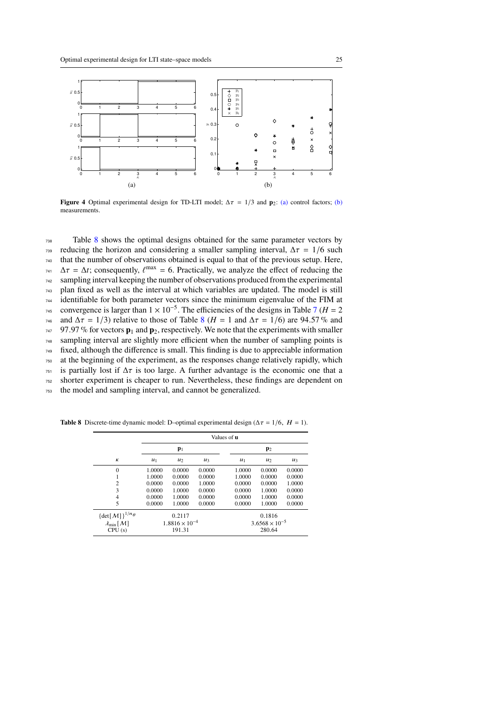<span id="page-24-1"></span>

<span id="page-24-2"></span><span id="page-24-0"></span>**Figure 4** Optimal experimental design for TD-LTI model;  $\Delta \tau = 1/3$  and **p**<sub>2</sub>: [\(a\)](#page-24-1) control factors; [\(b\)](#page-24-2) measurements.

 Table [8](#page-24-3) shows the optimal designs obtained for the same parameter vectors by reducing the horizon and considering a smaller sampling interval,  $Δτ = 1/6$  such that the number of observations obtained is equal to that of the previous setup. Here,  $\Delta \tau = \Delta t$ ; consequently,  $\ell^{\text{max}} = 6$ . Practically, we analyze the effect of reducing the sampling interval keeping the number of observations produced from the experimental plan fixed as well as the interval at which variables are updated. The model is still identifiable for both parameter vectors since the minimum eigenvalue of the FIM at <sup>[7](#page-23-0)45</sup> convergence is larger than  $1 \times 10^{-5}$ . The efficiencies of the designs in Table 7 (*H* = 2 <sup>746</sup> and  $\Delta \tau = 1/3$ ) relative to those of Table [8](#page-24-3) ( $H = 1$  and  $\Delta \tau = 1/6$ ) are 94.57 % and 97.97 % for vectors  $\mathbf{p}_1$  and  $\mathbf{p}_2$ , respectively. We note that the experiments with smaller sampling interval are slightly more efficient when the number of sampling points is fixed, although the difference is small. This finding is due to appreciable information at the beginning of the experiment, as the responses change relatively rapidly, which is partially lost if  $\Delta \tau$  is too large. A further advantage is the economic one that a shorter experiment is cheaper to run. Nevertheless, these findings are dependent on the model and sampling interval, and cannot be generalized.

**Table 8** Discrete-time dynamic model: D–optimal experimental design  $(\Delta \tau = 1/6, H = 1)$ .

<span id="page-24-3"></span>

|                                        |                         |        |        | Values of <b>u</b>      |        |        |  |
|----------------------------------------|-------------------------|--------|--------|-------------------------|--------|--------|--|
|                                        | $\mathbf{p}_1$          |        |        | $\mathbf{p}_2$          |        |        |  |
| К                                      | $u_1$                   | $u_2$  | $u_3$  | $u_1$                   | $u_2$  | $u_3$  |  |
| $\mathbf{0}$                           | 1.0000                  | 0.0000 | 0.0000 | 1.0000                  | 0.0000 | 0.0000 |  |
|                                        | 1.0000                  | 0.0000 | 0.0000 | 1.0000                  | 0.0000 | 0.0000 |  |
| $\overline{2}$                         | 0.0000                  | 0.0000 | 1.0000 | 0.0000                  | 0.0000 | 1.0000 |  |
| 3                                      | 0.0000                  | 1.0000 | 0.0000 | 0.0000                  | 1.0000 | 0.0000 |  |
| $\overline{4}$                         | 0.0000                  | 1.0000 | 0.0000 | 0.0000                  | 1.0000 | 0.0000 |  |
| 5                                      | 0.0000                  | 1.0000 | 0.0000 | 0.0000                  | 1.0000 | 0.0000 |  |
| $\{\det[\mathcal{M}]\}^{1/n_{\theta}}$ | 0.2117                  |        |        | 0.1816                  |        |        |  |
| $\lambda_{\min}[M]$                    | $1.8816 \times 10^{-4}$ |        |        | $3.6568 \times 10^{-5}$ |        |        |  |
| CPU(s)                                 | 191.31                  |        |        | 280.64                  |        |        |  |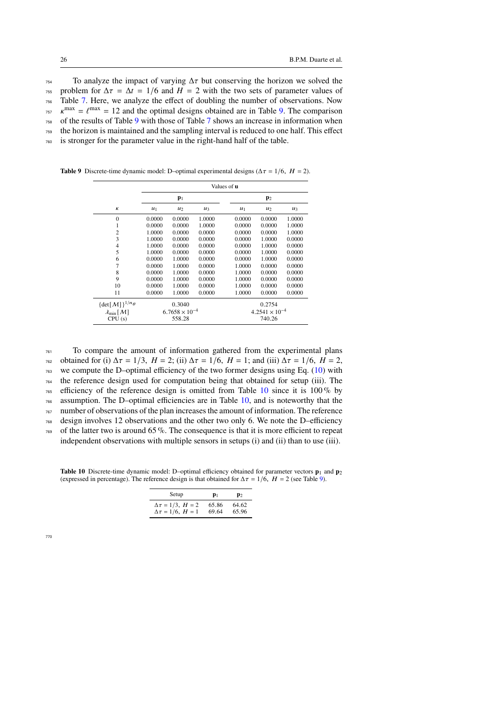To analyze the impact of varying  $\Delta \tau$  but conserving the horizon we solved the <sup>755</sup> problem for  $\Delta \tau = \Delta t = 1/6$  and  $H = 2$  with the two sets of parameter values of Table [7.](#page-23-0) Here, we analyze the effect of doubling the number of observations. Now  $m_{\text{757}}$   $\kappa^{\text{max}} = \ell^{\text{max}} = 12$  and the optimal designs obtained are in Table [9.](#page-25-0) The comparison of the results of Table [9](#page-25-0) with those of Table [7](#page-23-0) shows an increase in information when the horizon is maintained and the sampling interval is reduced to one half. This effect is stronger for the parameter value in the right-hand half of the table.

<span id="page-25-0"></span>

|                                        | Values of <b>u</b> |                         |        |        |                         |        |  |  |
|----------------------------------------|--------------------|-------------------------|--------|--------|-------------------------|--------|--|--|
|                                        | $\mathbf{p}_1$     |                         |        |        | $\mathbf{p}_2$          |        |  |  |
| К                                      | $u_1$              | $u_2$                   | $u_3$  | $u_1$  | $u_2$                   | $u_3$  |  |  |
| $\mathbf{0}$                           | 0.0000             | 0.0000                  | 1.0000 | 0.0000 | 0.0000                  | 1.0000 |  |  |
| 1                                      | 0.0000             | 0.0000                  | 1.0000 | 0.0000 | 0.0000                  | 1.0000 |  |  |
| $\overline{2}$                         | 1.0000             | 0.0000                  | 0.0000 | 0.0000 | 0.0000                  | 1.0000 |  |  |
| 3                                      | 1.0000             | 0.0000                  | 0.0000 | 0.0000 | 1.0000                  | 0.0000 |  |  |
| $\overline{4}$                         | 1.0000             | 0.0000                  | 0.0000 | 0.0000 | 1.0000                  | 0.0000 |  |  |
| 5                                      | 1.0000             | 0.0000                  | 0.0000 | 0.0000 | 1.0000                  | 0.0000 |  |  |
| 6                                      | 0.0000             | 1.0000                  | 0.0000 | 0.0000 | 1.0000                  | 0.0000 |  |  |
| 7                                      | 0.0000             | 1.0000                  | 0.0000 | 1.0000 | 0.0000                  | 0.0000 |  |  |
| 8                                      | 0.0000             | 1.0000                  | 0.0000 | 1.0000 | 0.0000                  | 0.0000 |  |  |
| 9                                      | 0.0000             | 1.0000                  | 0.0000 | 1.0000 | 0.0000                  | 0.0000 |  |  |
| 10                                     | 0.0000             | 1.0000                  | 0.0000 | 1.0000 | 0.0000                  | 0.0000 |  |  |
| 11                                     | 0.0000             | 1.0000                  | 0.0000 | 1.0000 | 0.0000                  | 0.0000 |  |  |
| $\{\det[\mathcal{M}]\}^{1/n_{\theta}}$ |                    | 0.3040                  |        |        | 0.2754                  |        |  |  |
| $\lambda_{\min}[\mathcal{M}]$          |                    | $6.7658 \times 10^{-4}$ |        |        | $4.2541 \times 10^{-4}$ |        |  |  |
| CPU(s)                                 |                    | 558.28                  |        |        | 740.26                  |        |  |  |

**Table 9** Discrete-time dynamic model: D–optimal experimental designs ( $\Delta \tau = 1/6$ ,  $H = 2$ ).

 $761$  To compare the amount of information gathered from the experimental plans

 $762$  obtained for (i)  $\Delta \tau = 1/3$ ,  $H = 2$ ; (ii)  $\Delta \tau = 1/6$ ,  $H = 1$ ; and (iii)  $\Delta \tau = 1/6$ ,  $H = 2$ ,

 $763$  we compute the D–optimal efficiency of the two former designs using Eq. [\(10\)](#page-9-1) with

<sup>764</sup> the reference design used for computation being that obtained for setup (iii). The

 $765$  efficiency of the reference design is omitted from Table [10](#page-25-1) since it is 100% by  $766$  assumption. The D–optimal efficiencies are in Table [10,](#page-25-1) and is noteworthy that the

<sup>767</sup> number of observations of the plan increases the amount of information. The reference

<sup>768</sup> design involves 12 observations and the other two only 6. We note the D–efficiency  $769$  of the latter two is around 65 %. The consequence is that it is more efficient to repeat independent observations with multiple sensors in setups (i) and (ii) than to use (iii).

<span id="page-25-1"></span>**Table 10** Discrete-time dynamic model: D–optimal efficiency obtained for parameter vectors  $\mathbf{p}_1$  and  $\mathbf{p}_2$ (expressed in percentage). The reference design is that obtained for  $\Delta \tau = 1/6$ ,  $H = 2$  (see Table [9\)](#page-25-0).

| Setup                         | $\mathbf{p}_1$ | $\mathbf{p}_2$ |
|-------------------------------|----------------|----------------|
| $\Delta \tau = 1/3$ , $H = 2$ | 65.86          | 64.62          |
| $\Delta \tau = 1/6$ , $H = 1$ | 69.64          | 65.96          |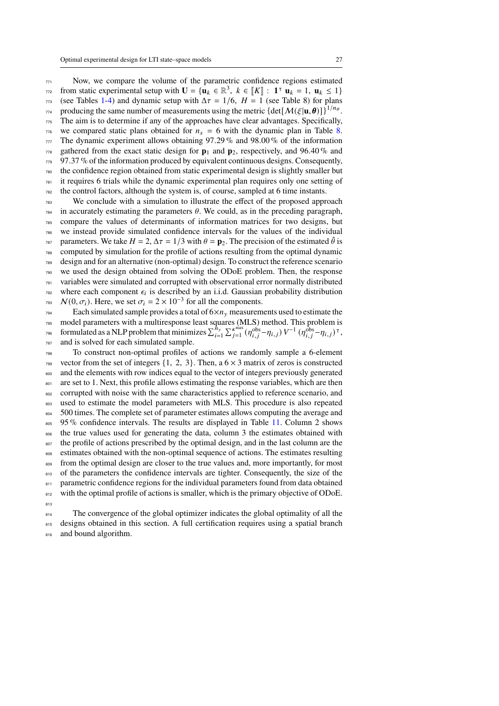Now, we compare the volume of the parametric confidence regions estimated from static experimental setup with  $\mathbf{U} = {\mathbf{u}_k \in \mathbb{R}^3, k \in [\![K]\!] : \mathbf{1}^T \mathbf{u}_k = 1, \mathbf{u}_k \le 1}$  (see Tables [1-](#page-20-0)[4\)](#page-21-0) and dynamic setup with  $\Delta \tau = 1/6$ ,  $H = 1$  (see Table 8) for plans producing the same number of measurements using the metric  $\{\det[\mathcal{M}(\xi|\mathbf{u}, \boldsymbol{\theta})]\}^{1/n_{\theta}}$ . The aim is to determine if any of the approaches have clear advantages. Specifically, we compared static plans obtained for  $n_s = 6$  with the dynamic plan in Table [8.](#page-24-3) The dynamic experiment allows obtaining 97.29% and 98.00% of the information gathered from the exact static design for  $p_1$  and  $p_2$ , respectively, and 96.40% and 97.37 % of the information produced by equivalent continuous designs. Consequently, the confidence region obtained from static experimental design is slightly smaller but it requires 6 trials while the dynamic experimental plan requires only one setting of the control factors, although the system is, of course, sampled at 6 time instants. We conclude with a simulation to illustrate the effect of the proposed approach in accurately estimating the parameters  $\theta$ . We could, as in the preceding paragraph, compare the values of determinants of information matrices for two designs, but we instead provide simulated confidence intervals for the values of the individual

parameters. We take  $H = 2$ ,  $\Delta \tau = 1/3$  with  $\theta = \mathbf{p}_2$ . The precision of the estimated  $\hat{\theta}$  is <sup>788</sup> computed by simulation for the profile of actions resulting from the optimal dynamic <sup>789</sup> design and for an alternative (non-optimal) design. To construct the reference scenario we used the design obtained from solving the ODoE problem. Then, the response <sup>791</sup> variables were simulated and corrupted with observational error normally distributed  $\tau$ <sup>92</sup> where each component  $\epsilon_i$  is described by an i.i.d. Gaussian probability distribution  $N(0, \sigma_i)$ . Here, we set  $\sigma_i = 2 \times 10^{-3}$  for all the components.

 $_{794}$  Each simulated sample provides a total of  $6 \times n_v$  measurements used to estimate the <sup>796</sup> model parameters with a multiresponse least squares (MLS) method. This problem is formulated as a NLP problem that minimizes  $\sum_{i=1}^{n_y} \sum_{j=1}^{\kappa^{max}} (\eta_{i,j}^{\text{obs}} - \eta_{i,j}) V^{-1} (\eta_{i,j}^{\text{obs}} - \eta_{i,j})^{\intercal}$ , <sup>797</sup> and is solved for each simulated sample.

<sup>798</sup> To construct non-optimal profiles of actions we randomly sample a 6-element  $799$  vector from the set of integers  $\{1, 2, 3\}$ . Then, a  $6 \times 3$  matrix of zeros is constructed <sup>800</sup> and the elements with row indices equal to the vector of integers previously generated 801 are set to 1. Next, this profile allows estimating the response variables, which are then <sup>802</sup> corrupted with noise with the same characteristics applied to reference scenario, and 803 used to estimate the model parameters with MLS. This procedure is also repeated <sup>804</sup> 500 times. The complete set of parameter estimates allows computing the average and 805 95 % confidence intervals. The results are displayed in Table [11.](#page-27-1) Column 2 shows <sup>806</sup> the true values used for generating the data, column 3 the estimates obtained with 807 the profile of actions prescribed by the optimal design, and in the last column are the <sup>808</sup> estimates obtained with the non-optimal sequence of actions. The estimates resulting <sup>809</sup> from the optimal design are closer to the true values and, more importantly, for most 810 of the parameters the confidence intervals are tighter. Consequently, the size of the 811 parametric confidence regions for the individual parameters found from data obtained with the optimal profile of actions is smaller, which is the primary objective of ODoE. 813

<sup>814</sup> The convergence of the global optimizer indicates the global optimality of all the 815 designs obtained in this section. A full certification requires using a spatial branch 816 and bound algorithm.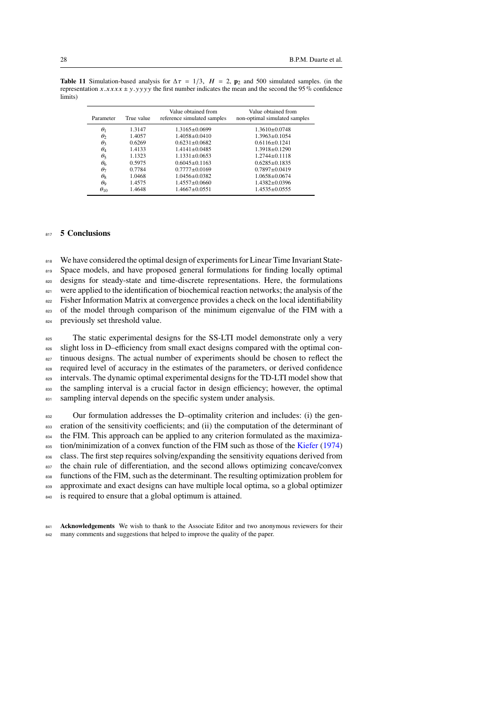<span id="page-27-1"></span>

| Parameter     | True value | Value obtained from<br>reference simulated samples | Value obtained from<br>non-optimal simulated samples |
|---------------|------------|----------------------------------------------------|------------------------------------------------------|
| $\theta_1$    | 1.3147     | $1.3165 \pm 0.0699$                                | $1.3610 + 0.0748$                                    |
| $\theta_2$    | 1.4057     | $1.4058 \pm 0.0410$                                | $1.3963 \pm 0.1054$                                  |
| $\theta_3$    | 0.6269     | $0.6231 \pm 0.0682$                                | $0.6116 + 0.1241$                                    |
| $\theta_4$    | 1.4133     | $1.4141 \pm 0.0485$                                | $1.3918 \pm 0.1290$                                  |
| $\theta_5$    | 1.1323     | $1.1331 \pm 0.0653$                                | $1.2744 \pm 0.1118$                                  |
| $\theta_6$    | 0.5975     | $0.6045 + 0.1163$                                  | $0.6285 \pm 0.1835$                                  |
| $\theta_7$    | 0.7784     | $0.7777 \pm 0.0169$                                | $0.7897 \pm 0.0419$                                  |
| $\theta_8$    | 1.0468     | $1.0456 + 0.0382$                                  | $1.0658 \pm 0.0674$                                  |
| $\theta_9$    | 1.4575     | $1.4557 \pm 0.0660$                                | $1.4382 \pm 0.0396$                                  |
| $\theta_{10}$ | 1.4648     | $1.4667 \pm 0.0551$                                | $1.4535 \pm 0.0555$                                  |

# <span id="page-27-0"></span><sup>817</sup> **5 Conclusions**

818 We have considered the optimal design of experiments for Linear Time Invariant State-

819 Space models, and have proposed general formulations for finding locally optimal

820 designs for steady-state and time-discrete representations. Here, the formulations

821 were applied to the identification of biochemical reaction networks; the analysis of the

<sup>822</sup> Fisher Information Matrix at convergence provides a check on the local identifiability

 $823$  of the model through comparison of the minimum eigenvalue of the FIM with a

824 previously set threshold value.

<sup>825</sup> The static experimental designs for the SS-LTI model demonstrate only a very  $826$  slight loss in D–efficiency from small exact designs compared with the optimal con-827 tinuous designs. The actual number of experiments should be chosen to reflect the <sup>828</sup> required level of accuracy in the estimates of the parameters, or derived confidence <sup>829</sup> intervals. The dynamic optimal experimental designs for the TD-LTI model show that 830 the sampling interval is a crucial factor in design efficiency; however, the optimal 831 sampling interval depends on the specific system under analysis.

832 Our formulation addresses the D-optimality criterion and includes: (i) the gen-<sup>833</sup> eration of the sensitivity coefficients; and (ii) the computation of the determinant of <sup>834</sup> the FIM. This approach can be applied to any criterion formulated as the maximiza- $\frac{835}{100}$  tion/minimization of a convex function of the FIM such as those of the [Kiefer](#page-30-10) [\(1974\)](#page-30-10) 836 class. The first step requires solving/expanding the sensitivity equations derived from <sup>837</sup> the chain rule of differentiation, and the second allows optimizing concave/convex <sup>838</sup> functions of the FIM, such as the determinant. The resulting optimization problem for 839 approximate and exact designs can have multiple local optima, so a global optimizer

840 is required to ensure that a global optimum is attained.

<sup>841</sup> **Acknowledgements** We wish to thank to the Associate Editor and two anonymous reviewers for their 842 many comments and suggestions that helped to improve the quality of the paper.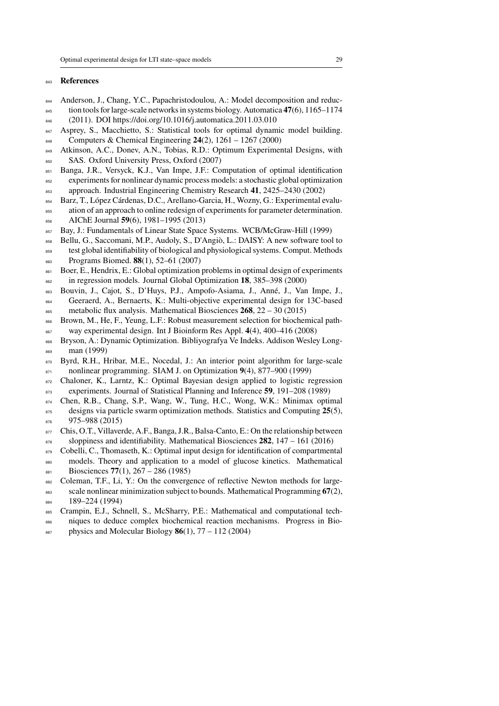#### **References**

- <span id="page-28-4"></span>Anderson, J., Chang, Y.C., Papachristodoulou, A.: Model decomposition and reduc-tion tools for large-scale networks in systems biology. Automatica **47**(6), 1165–1174
- (2011). DOI https://doi.org/10.1016/j.automatica.2011.03.010
- <span id="page-28-2"></span>847 Asprey, S., Macchietto, S.: Statistical tools for optimal dynamic model building. Computers & Chemical Engineering **24**(2), 1261 – 1267 (2000)
- <span id="page-28-9"></span>849 Atkinson, A.C., Doney, A.N., Tobias, R.D.: Optimum Experimental Designs, with 850 SAS. Oxford University Press, Oxford (2007)
- <span id="page-28-14"></span>Banga, J.R., Versyck, K.J., Van Impe, J.F.: Computation of optimal identification
- experiments for nonlinear dynamic process models: a stochastic global optimization approach. Industrial Engineering Chemistry Research **41**, 2425–2430 (2002)
- <span id="page-28-6"></span>Barz, T., López Cárdenas, D.C., Arellano-Garcia, H., Wozny, G.: Experimental evalu-
- ation of an approach to online redesign of experiments for parameter determination. AIChE Journal **59**(6), 1981–1995 (2013)
- <span id="page-28-13"></span>Bay, J.: Fundamentals of Linear State Space Systems. WCB/McGraw-Hill (1999)
- <span id="page-28-17"></span>858 Bellu, G., Saccomani, M.P., Audoly, S., D'Angiò, L.: DAISY: A new software tool to
- test global identifiability of biological and physiological systems. Comput. Methods Programs Biomed. **88**(1), 52–61 (2007)
- <span id="page-28-11"></span>861 Boer, E., Hendrix, E.: Global optimization problems in optimal design of experiments in regression models. Journal Global Optimization **18**, 385–398 (2000)
- <span id="page-28-1"></span>Bouvin, J., Cajot, S., D'Huys, P.J., Ampofo-Asiama, J., Anné, J., Van Impe, J.,
- Geeraerd, A., Bernaerts, K.: Multi-objective experimental design for 13C-based metabolic flux analysis. Mathematical Biosciences **268**, 22 – 30 (2015)
- <span id="page-28-7"></span>866 Brown, M., He, F., Yeung, L.F.: Robust measurement selection for biochemical path-way experimental design. Int J Bioinform Res Appl. **4**(4), 400–416 (2008)
- <span id="page-28-3"></span> Bryson, A.: Dynamic Optimization. Bibliyografya Ve Indeks. Addison Wesley Long-man (1999)
- <span id="page-28-16"></span>870 Byrd, R.H., Hribar, M.E., Nocedal, J.: An interior point algorithm for large-scale nonlinear programming. SIAM J. on Optimization **9**(4), 877–900 (1999)
- <span id="page-28-10"></span> Chaloner, K., Larntz, K.: Optimal Bayesian design applied to logistic regression experiments. Journal of Statistical Planning and Inference **59**, 191–208 (1989)
- <span id="page-28-12"></span>Chen, R.B., Chang, S.P., Wang, W., Tung, H.C., Wong, W.K.: Minimax optimal
- designs via particle swarm optimization methods. Statistics and Computing **25**(5), 876 975–988 (2015)
- <span id="page-28-8"></span>877 Chis, O.T., Villaverde, A.F., Banga, J.R., Balsa-Canto, E.: On the relationship between sloppiness and identifiability. Mathematical Biosciences **282**, 147 – 161 (2016)
- <span id="page-28-5"></span>879 Cobelli, C., Thomaseth, K.: Optimal input design for identification of compartmental
- 880 models. Theory and application to a model of glucose kinetics. Mathematical Biosciences **77**(1), 267 – 286 (1985)
- scale nonlinear minimization subject to bounds. Mathematical Programming **67**(2),
- 884 189–224 (1994)
- Crampin, E.J., Schnell, S., McSharry, P.E.: Mathematical and computational tech-
- 
- <span id="page-28-15"></span>882 Coleman, T.F., Li, Y.: On the convergence of reflective Newton methods for large-

- <span id="page-28-0"></span>niques to deduce complex biochemical reaction mechanisms. Progress in Bio-
- $\frac{887}{285}$  physics and Molecular Biology **86**(1), 77 112 (2004)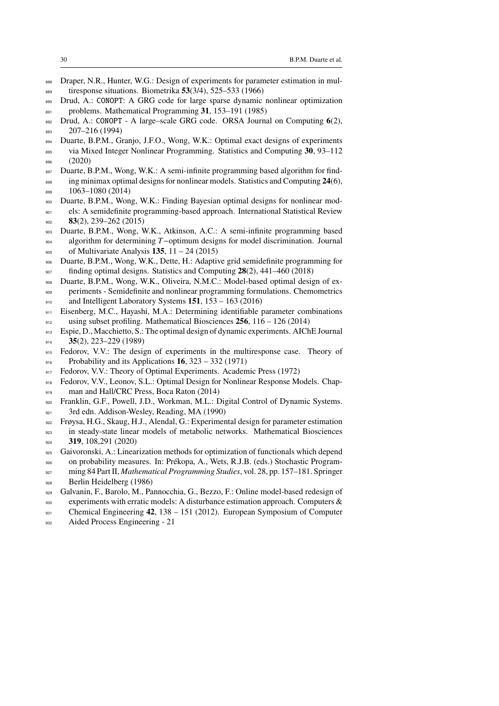- <span id="page-29-6"></span>888 Draper, N.R., Hunter, W.G.: Design of experiments for parameter estimation in mul-tiresponse situations. Biometrika **53**(3/4), 525–533 (1966)
- <span id="page-29-13"></span>890 Drud, A.: CONOPT: A GRG code for large sparse dynamic nonlinear optimization
- problems. Mathematical Programming **31**, 153–191 (1985)
- <span id="page-29-14"></span> Drud, A.: CONOPT - A large–scale GRG code. ORSA Journal on Computing **6**(2), 207–216 (1994)
- <span id="page-29-4"></span>Duarte, B.P.M., Granjo, J.F.O., Wong, W.K.: Optimal exact designs of experiments
- via Mixed Integer Nonlinear Programming. Statistics and Computing **30**, 93–112 (2020)
- <span id="page-29-10"></span>897 Duarte, B.P.M., Wong, W.K.: A semi-infinite programming based algorithm for find-
- ing minimax optimal designs for nonlinear models. Statistics and Computing **24**(6), 899 1063-1080 (2014)
- <span id="page-29-9"></span>Duarte, B.P.M., Wong, W.K.: Finding Bayesian optimal designs for nonlinear mod-
- els: A semidefinite programming-based approach. International Statistical Review **83**(2), 239–262 (2015)
- <span id="page-29-11"></span> Duarte, B.P.M., Wong, W.K., Atkinson, A.C.: A semi-infinite programming based  $_{904}$  algorithm for determining T-optimum designs for model discrimination. Journal
- of Multivariate Analysis **135**, 11 24 (2015)
- <span id="page-29-16"></span> Duarte, B.P.M., Wong, W.K., Dette, H.: Adaptive grid semidefinite programming for finding optimal designs. Statistics and Computing  $28(2)$ ,  $441-460$  (2018)
- <span id="page-29-12"></span> Duarte, B.P.M., Wong, W.K., Oliveira, N.M.C.: Model-based optimal design of ex-periments - Semidefinite and nonlinear programming formulations. Chemometrics
- and Intelligent Laboratory Systems **151**, 153 163 (2016)
- <span id="page-29-2"></span>Eisenberg, M.C., Hayashi, M.A.: Determining identifiable parameter combinations
- using subset profiling. Mathematical Biosciences **256**, 116 126 (2014)
- <span id="page-29-0"></span> Espie, D., Macchietto, S.: The optimal design of dynamic experiments. AIChE Journal **35**(2), 223–229 (1989)
- <span id="page-29-15"></span>915 Fedorov, V.V.: The design of experiments in the multiresponse case. Theory of Probability and its Applications **16**, 323 – 332 (1971)
- <span id="page-29-7"></span>917 Fedorov, V.V.: Theory of Optimal Experiments. Academic Press (1972)
- <span id="page-29-5"></span>Fedorov, V.V., Leonov, S.L.: Optimal Design for Nonlinear Response Models. Chap-
- 919 man and Hall/CRC Press, Boca Raton (2014)
- <span id="page-29-17"></span> Franklin, G.F., Powell, J.D., Workman, M.L.: Digital Control of Dynamic Systems. 921 3rd edn. Addison-Wesley, Reading, MA (1990)
- <span id="page-29-3"></span> Frøysa, H.G., Skaug, H.J., Alendal, G.: Experimental design for parameter estimation in steady-state linear models of metabolic networks. Mathematical Biosciences
- **319**, 108,291 (2020)
- <span id="page-29-8"></span>925 Gaivoronski, A.: Linearization methods for optimization of functionals which depend
- on probability measures. In: Prékopa, A., Wets, R.J.B. (eds.) Stochastic Program-ming 84 Part II, *Mathematical Programming Studies*, vol. 28, pp. 157–181. Springer
- 928 Berlin Heidelberg (1986)
- <span id="page-29-1"></span>Galvanin, F., Barolo, M., Pannocchia, G., Bezzo, F.: Online model-based redesign of
- 930 experiments with erratic models: A disturbance estimation approach. Computers  $\&$
- Chemical Engineering **42**, 138 151 (2012). European Symposium of Computer
- Aided Process Engineering 21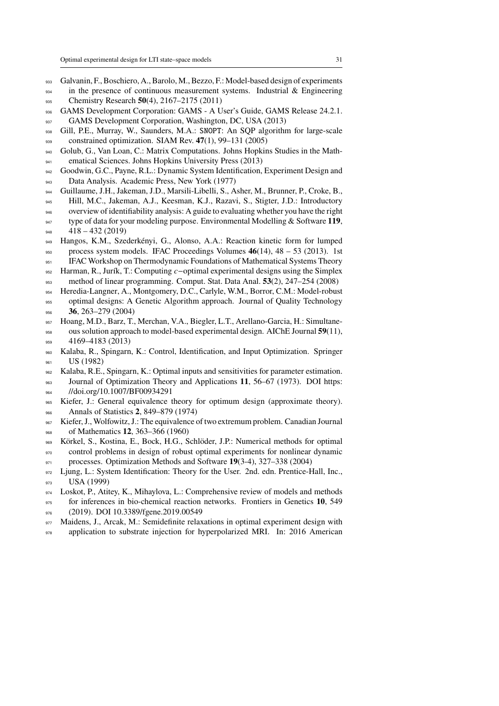- <span id="page-30-8"></span>Galvanin, F., Boschiero, A., Barolo, M., Bezzo, F.: Model-based design of experiments
- <sup>934</sup> in the presence of continuous measurement systems. Industrial & Engineering Chemistry Research **50**(4), 2167–2175 (2011)
- <span id="page-30-16"></span>936 GAMS Development Corporation: GAMS - A User's Guide, GAMS Release 24.2.1.
- 937 GAMS Development Corporation, Washington, DC, USA (2013)
- <span id="page-30-14"></span> Gill, P.E., Murray, W., Saunders, M.A.: SNOPT: An SQP algorithm for large-scale constrained optimization. SIAM Rev. **47**(1), 99–131 (2005)
- <span id="page-30-15"></span> Golub, G., Van Loan, C.: Matrix Computations. Johns Hopkins Studies in the Math-941 ematical Sciences. Johns Hopkins University Press (2013)
- <span id="page-30-2"></span> Goodwin, G.C., Payne, R.L.: Dynamic System Identification, Experiment Design and Data Analysis. Academic Press, New York (1977)
- <span id="page-30-17"></span>Guillaume, J.H., Jakeman, J.D., Marsili-Libelli, S., Asher, M., Brunner, P., Croke, B.,
- Hill, M.C., Jakeman, A.J., Keesman, K.J., Razavi, S., Stigter, J.D.: Introductory
- overview of identifiability analysis: A guide to evaluating whether you have the right
- type of data for your modeling purpose. Environmental Modelling & Software **119**, 418 – 432 (2019)
- <span id="page-30-1"></span> Hangos, K.M., Szederkényi, G., Alonso, A.A.: Reaction kinetic form for lumped process system models. IFAC Proceedings Volumes **46**(14), 48 – 53 (2013). 1st
- IFAC Workshop on Thermodynamic Foundations of Mathematical Systems Theory
- <span id="page-30-12"></span>952 Harman, R., Jurík, T.: Computing  $c$ -optimal experimental designs using the Simplex method of linear programming. Comput. Stat. Data Anal. **53**(2), 247–254 (2008)
- <span id="page-30-13"></span>Heredia-Langner, A., Montgomery, D.C., Carlyle, W.M., Borror, C.M.: Model-robust
- optimal designs: A Genetic Algorithm approach. Journal of Quality Technology **36**, 263–279 (2004)
- <span id="page-30-7"></span> Hoang, M.D., Barz, T., Merchan, V.A., Biegler, L.T., Arellano-Garcia, H.: Simultane- ous solution approach to model-based experimental design. AIChE Journal **59**(11), 4169–4183 (2013)
- <span id="page-30-3"></span> Kalaba, R., Spingarn, K.: Control, Identification, and Input Optimization. Springer US (1982)
- <span id="page-30-5"></span>Kalaba, R.E., Spingarn, K.: Optimal inputs and sensitivities for parameter estimation.
- Journal of Optimization Theory and Applications **11**, 56–67 (1973). DOI https: 964 //doi.org/10.1007/BF00934291
- <span id="page-30-10"></span> Kiefer, J.: General equivalence theory for optimum design (approximate theory). Annals of Statistics **2**, 849–879 (1974)
- <span id="page-30-11"></span> Kiefer, J., Wolfowitz, J.: The equivalence of two extremum problem. Canadian Journal of Mathematics **12**, 363–366 (1960)
- <span id="page-30-6"></span> Körkel, S., Kostina, E., Bock, H.G., Schlöder, J.P.: Numerical methods for optimal control problems in design of robust optimal experiments for nonlinear dynamic
- processes. Optimization Methods and Software **19**(3-4), 327–338 (2004)
- <span id="page-30-4"></span>972 Ljung, L.: System Identification: Theory for the User. 2nd. edn. Prentice-Hall, Inc., 973 USA (1999)
- <span id="page-30-0"></span>Loskot, P., Atitey, K., Mihaylova, L.: Comprehensive review of models and methods
- for inferences in bio-chemical reaction networks. Frontiers in Genetics **10**, 549 (2019). DOI 10.3389/fgene.2019.00549
- <span id="page-30-9"></span>977 Maidens, J., Arcak, M.: Semidefinite relaxations in optimal experiment design with
- 978 application to substrate injection for hyperpolarized MRI. In: 2016 American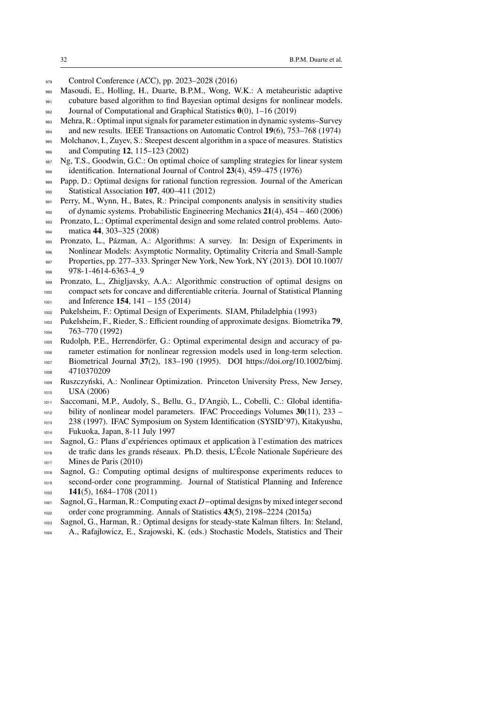- 979 Control Conference (ACC), pp. 2023–2028 (2016)
- <span id="page-31-14"></span> Masoudi, E., Holling, H., Duarte, B.P.M., Wong, W.K.: A metaheuristic adaptive cubature based algorithm to find Bayesian optimal designs for nonlinear models. Journal of Computational and Graphical Statistics **0**(0), 1–16 (2019)
- <span id="page-31-0"></span>Mehra, R.: Optimal input signals for parameter estimation in dynamic systems–Survey
- and new results. IEEE Transactions on Automatic Control **19**(6), 753–768 (1974)
- <span id="page-31-12"></span>Molchanov, I., Zuyev, S.: Steepest descent algorithm in a space of measures. Statistics
- and Computing **12**, 115–123 (2002)
- <span id="page-31-2"></span>987 Ng, T.S., Goodwin, G.C.: On optimal choice of sampling strategies for linear system identification. International Journal of Control **23**(4), 459–475 (1976)
- <span id="page-31-11"></span> Papp, D.: Optimal designs for rational function regression. Journal of the American Statistical Association **107**, 400–411 (2012)
- <span id="page-31-7"></span>Perry, M., Wynn, H., Bates, R.: Principal components analysis in sensitivity studies
- <span id="page-31-3"></span> of dynamic systems. Probabilistic Engineering Mechanics **21**(4), 454 – 460 (2006) Pronzato, L.: Optimal experimental design and some related control problems. Auto-
- matica **44**, 303–325 (2008)
- <span id="page-31-16"></span>Pronzato, L., Pázman, A.: Algorithms: A survey. In: Design of Experiments in
- Nonlinear Models: Asymptotic Normality, Optimality Criteria and Small-Sample
- 997 Properties, pp. 277–333. Springer New York, New York, NY (2013). DOI 10.1007/ 978-1-4614-6363-4\_9
- <span id="page-31-13"></span> Pronzato, L., Zhigljavsky, A.A.: Algorithmic construction of optimal designs on compact sets for concave and differentiable criteria. Journal of Statistical Planning and Inference **154**, 141 – 155 (2014)
- <span id="page-31-8"></span>Pukelsheim, F.: Optimal Design of Experiments. SIAM, Philadelphia (1993)
- <span id="page-31-6"></span> Pukelsheim, F., Rieder, S.: Efficient rounding of approximate designs. Biometrika **79**, 763–770 (1992)
- <span id="page-31-1"></span>Rudolph, P.E., Herrendörfer, G.: Optimal experimental design and accuracy of pa-
- rameter estimation for nonlinear regression models used in long-term selection. Biometrical Journal **37**(2), 183–190 (1995). DOI https://doi.org/10.1002/bimj. 1008 4710370209
- <span id="page-31-15"></span> Ruszczyński, A.: Nonlinear Optimization. Princeton University Press, New Jersey, USA (2006)
- <span id="page-31-17"></span>Saccomani, M.P., Audoly, S., Bellu, G., D'Angiò, L., Cobelli, C.: Global identifia-
- bility of nonlinear model parameters. IFAC Proceedings Volumes **30**(11), 233 –
- 238 (1997). IFAC Symposium on System Identification (SYSID'97), Kitakyushu, Fukuoka, Japan, 8-11 July 1997
- <span id="page-31-4"></span> Sagnol, G.: Plans d'expériences optimaux et application à l'estimation des matrices de trafic dans les grands réseaux. Ph.D. thesis, L'École Nationale Supérieure des Mines de Paris (2010)
- <span id="page-31-9"></span> Sagnol, G.: Computing optimal designs of multiresponse experiments reduces to second-order cone programming. Journal of Statistical Planning and Inference **141**(5), 1684–1708 (2011)
- <span id="page-31-10"></span> Sagnol, G., Harman, R.: Computing exact D-optimal designs by mixed integer second order cone programming. Annals of Statistics **43**(5), 2198–2224 (2015a)
- <span id="page-31-5"></span>Sagnol, G., Harman, R.: Optimal designs for steady-state Kalman filters. In: Steland,
- A., Rafajłowicz, E., Szajowski, K. (eds.) Stochastic Models, Statistics and Their